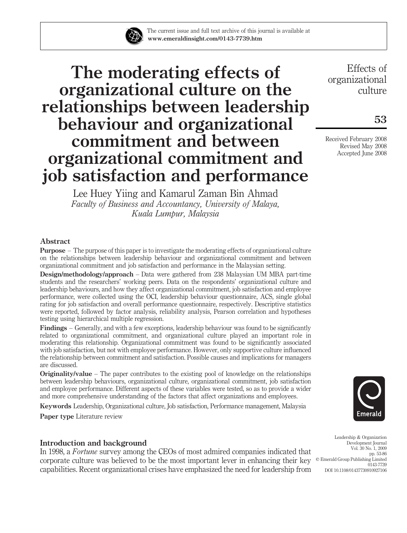

The current issue and full text archive of this journal is available at www.emeraldinsight.com/0143-7739.htm

# The moderating effects of organizational culture on the relationships between leadership behaviour and organizational commitment and between organizational commitment and job satisfaction and performance

Effects of organizational culture

53

Received February 2008 Revised May 2008 Accepted June 2008

Lee Huey Yiing and Kamarul Zaman Bin Ahmad Faculty of Business and Accountancy, University of Malaya, Kuala Lumpur, Malaysia

## Abstract

Purpose – The purpose of this paper is to investigate the moderating effects of organizational culture on the relationships between leadership behaviour and organizational commitment and between organizational commitment and job satisfaction and performance in the Malaysian setting.

Design/methodology/approach – Data were gathered from 238 Malaysian UM MBA part-time students and the researchers' working peers. Data on the respondents' organizational culture and leadership behaviours, and how they affect organizational commitment, job satisfaction and employee performance, were collected using the OCI, leadership behaviour questionnaire, ACS, single global rating for job satisfaction and overall performance questionnaire, respectively. Descriptive statistics were reported, followed by factor analysis, reliability analysis, Pearson correlation and hypotheses testing using hierarchical multiple regression.

Findings – Generally, and with a few exceptions, leadership behaviour was found to be significantly related to organizational commitment, and organizational culture played an important role in moderating this relationship. Organizational commitment was found to be significantly associated with job satisfaction, but not with employee performance. However, only supportive culture influenced the relationship between commitment and satisfaction. Possible causes and implications for managers are discussed.

**Originality/value** – The paper contributes to the existing pool of knowledge on the relationships between leadership behaviours, organizational culture, organizational commitment, job satisfaction and employee performance. Different aspects of these variables were tested, so as to provide a wider and more comprehensive understanding of the factors that affect organizations and employees.

Keywords Leadership, Organizational culture, Job satisfaction, Performance management, Malaysia

Paper type Literature review

## Introduction and background

In 1998, a Fortune survey among the CEOs of most admired companies indicated that corporate culture was believed to be the most important lever in enhancing their key capabilities. Recent organizational crises have emphasized the need for leadership from



Leadership & Organization Development Journal Vol. 30 No. 1, 2009 pp. 53-86  $©$  Emerald Group Publishing Limited 0143-7739 DOI 10.1108/01437730910927106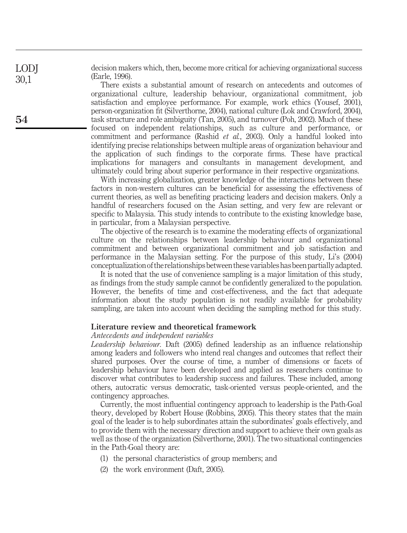decision makers which, then, become more critical for achieving organizational success (Earle, 1996).

There exists a substantial amount of research on antecedents and outcomes of organizational culture, leadership behaviour, organizational commitment, job satisfaction and employee performance. For example, work ethics (Yousef, 2001), person-organization fit (Silverthorne, 2004), national culture (Lok and Crawford, 2004), task structure and role ambiguity (Tan, 2005), and turnover (Poh, 2002). Much of these focused on independent relationships, such as culture and performance, or commitment and performance (Rashid et al., 2003). Only a handful looked into identifying precise relationships between multiple areas of organization behaviour and the application of such findings to the corporate firms. These have practical implications for managers and consultants in management development, and ultimately could bring about superior performance in their respective organizations.

With increasing globalization, greater knowledge of the interactions between these factors in non-western cultures can be beneficial for assessing the effectiveness of current theories, as well as benefiting practicing leaders and decision makers. Only a handful of researchers focused on the Asian setting, and very few are relevant or specific to Malaysia. This study intends to contribute to the existing knowledge base, in particular, from a Malaysian perspective.

The objective of the research is to examine the moderating effects of organizational culture on the relationships between leadership behaviour and organizational commitment and between organizational commitment and job satisfaction and performance in the Malaysian setting. For the purpose of this study, Li's (2004) conceptualizationoftherelationshipsbetweenthesevariableshasbeenpartiallyadapted.

It is noted that the use of convenience sampling is a major limitation of this study, as findings from the study sample cannot be confidently generalized to the population. However, the benefits of time and cost-effectiveness, and the fact that adequate information about the study population is not readily available for probability sampling, are taken into account when deciding the sampling method for this study.

### Literature review and theoretical framework

#### Antecedents and independent variables

Leadership behaviour. Daft (2005) defined leadership as an influence relationship among leaders and followers who intend real changes and outcomes that reflect their shared purposes. Over the course of time, a number of dimensions or facets of leadership behaviour have been developed and applied as researchers continue to discover what contributes to leadership success and failures. These included, among others, autocratic versus democratic, task-oriented versus people-oriented, and the contingency approaches.

Currently, the most influential contingency approach to leadership is the Path-Goal theory, developed by Robert House (Robbins, 2005). This theory states that the main goal of the leader is to help subordinates attain the subordinates' goals effectively, and to provide them with the necessary direction and support to achieve their own goals as well as those of the organization (Silverthorne, 2001). The two situational contingencies in the Path-Goal theory are:

- (1) the personal characteristics of group members; and
- (2) the work environment (Daft, 2005).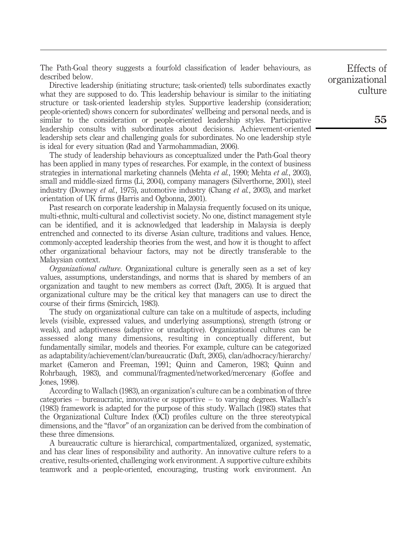The Path-Goal theory suggests a fourfold classification of leader behaviours, as described below.

Directive leadership (initiating structure; task-oriented) tells subordinates exactly what they are supposed to do. This leadership behaviour is similar to the initiating structure or task-oriented leadership styles. Supportive leadership (consideration; people-oriented) shows concern for subordinates' wellbeing and personal needs, and is similar to the consideration or people-oriented leadership styles. Participative leadership consults with subordinates about decisions. Achievement-oriented leadership sets clear and challenging goals for subordinates. No one leadership style is ideal for every situation (Rad and Yarmohammadian, 2006).

The study of leadership behaviours as conceptualized under the Path-Goal theory has been applied in many types of researches. For example, in the context of business strategies in international marketing channels (Mehta et al., 1990; Mehta et al., 2003), small and middle-sized firms (Li, 2004), company managers (Silverthorne, 2001), steel industry (Downey et al., 1975), automotive industry (Chang et al., 2003), and market orientation of UK firms (Harris and Ogbonna, 2001).

Past research on corporate leadership in Malaysia frequently focused on its unique, multi-ethnic, multi-cultural and collectivist society. No one, distinct management style can be identified, and it is acknowledged that leadership in Malaysia is deeply entrenched and connected to its diverse Asian culture, traditions and values. Hence, commonly-accepted leadership theories from the west, and how it is thought to affect other organizational behaviour factors, may not be directly transferable to the Malaysian context.

Organizational culture. Organizational culture is generally seen as a set of key values, assumptions, understandings, and norms that is shared by members of an organization and taught to new members as correct (Daft, 2005). It is argued that organizational culture may be the critical key that managers can use to direct the course of their firms (Smircich, 1983).

The study on organizational culture can take on a multitude of aspects, including levels (visible, expressed values, and underlying assumptions), strength (strong or weak), and adaptiveness (adaptive or unadaptive). Organizational cultures can be assessed along many dimensions, resulting in conceptually different, but fundamentally similar, models and theories. For example, culture can be categorized as adaptability/achievement/clan/bureaucratic (Daft, 2005), clan/adhocracy/hierarchy/ market (Cameron and Freeman, 1991; Quinn and Cameron, 1983; Quinn and Rohrbaugh, 1983), and communal/fragmented/networked/mercenary (Goffee and Jones, 1998).

According to Wallach (1983), an organization's culture can be a combination of three categories – bureaucratic, innovative or supportive – to varying degrees. Wallach's (1983) framework is adapted for the purpose of this study. Wallach (1983) states that the Organizational Culture Index (OCI) profiles culture on the three stereotypical dimensions, and the "flavor" of an organization can be derived from the combination of these three dimensions.

A bureaucratic culture is hierarchical, compartmentalized, organized, systematic, and has clear lines of responsibility and authority. An innovative culture refers to a creative, results-oriented, challenging work environment. A supportive culture exhibits teamwork and a people-oriented, encouraging, trusting work environment. An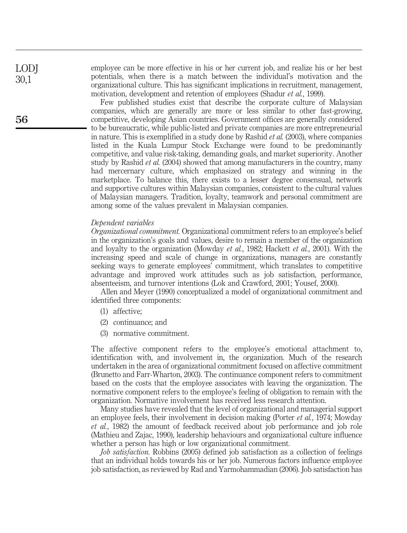employee can be more effective in his or her current job, and realize his or her best potentials, when there is a match between the individual's motivation and the organizational culture. This has significant implications in recruitment, management, motivation, development and retention of employees (Shadur et al., 1999).

Few published studies exist that describe the corporate culture of Malaysian companies, which are generally are more or less similar to other fast-growing, competitive, developing Asian countries. Government offices are generally considered to be bureaucratic, while public-listed and private companies are more entrepreneurial in nature. This is exemplified in a study done by Rashid et al. (2003), where companies listed in the Kuala Lumpur Stock Exchange were found to be predominantly competitive, and value risk-taking, demanding goals, and market superiority. Another study by Rashid *et al.* (2004) showed that among manufacturers in the country, many had mercernary culture, which emphasized on strategy and winning in the marketplace. To balance this, there exists to a lesser degree consensual, network and supportive cultures within Malaysian companies, consistent to the cultural values of Malaysian managers. Tradition, loyalty, teamwork and personal commitment are among some of the values prevalent in Malaysian companies.

### Dependent variables

Organizational commitment. Organizational commitment refers to an employee's belief in the organization's goals and values, desire to remain a member of the organization and loyalty to the organization (Mowday et al., 1982; Hackett et al., 2001). With the increasing speed and scale of change in organizations, managers are constantly seeking ways to generate employees' commitment, which translates to competitive advantage and improved work attitudes such as job satisfaction, performance, absenteeism, and turnover intentions (Lok and Crawford, 2001; Yousef, 2000).

Allen and Meyer (1990) conceptualized a model of organizational commitment and identified three components:

- (1) affective;
- (2) continuance; and
- (3) normative commitment.

The affective component refers to the employee's emotional attachment to, identification with, and involvement in, the organization. Much of the research undertaken in the area of organizational commitment focused on affective commitment (Brunetto and Farr-Wharton, 2003). The continuance component refers to commitment based on the costs that the employee associates with leaving the organization. The normative component refers to the employee's feeling of obligation to remain with the organization. Normative involvement has received less research attention.

Many studies have revealed that the level of organizational and managerial support an employee feels, their involvement in decision making (Porter et al., 1974; Mowday et al., 1982) the amount of feedback received about job performance and job role (Mathieu and Zajac, 1990), leadership behaviours and organizational culture influence whether a person has high or low organizational commitment.

Job satisfaction. Robbins (2005) defined job satisfaction as a collection of feelings that an individual holds towards his or her job. Numerous factors influence employee job satisfaction, as reviewed by Rad and Yarmohammadian (2006). Job satisfaction has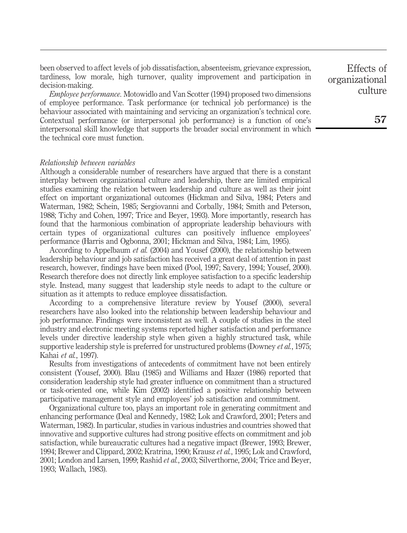been observed to affect levels of job dissatisfaction, absenteeism, grievance expression, tardiness, low morale, high turnover, quality improvement and participation in decision-making.

Employee performance. Motowidlo and Van Scotter (1994) proposed two dimensions of employee performance. Task performance (or technical job performance) is the behaviour associated with maintaining and servicing an organization's technical core. Contextual performance (or interpersonal job performance) is a function of one's interpersonal skill knowledge that supports the broader social environment in which the technical core must function.

#### Relationship between variables

Although a considerable number of researchers have argued that there is a constant interplay between organizational culture and leadership, there are limited empirical studies examining the relation between leadership and culture as well as their joint effect on important organizational outcomes (Hickman and Silva, 1984; Peters and Waterman, 1982; Schein, 1985; Sergiovanni and Corbally, 1984; Smith and Peterson, 1988; Tichy and Cohen, 1997; Trice and Beyer, 1993). More importantly, research has found that the harmonious combination of appropriate leadership behaviours with certain types of organizational cultures can positively influence employees' performance (Harris and Ogbonna, 2001; Hickman and Silva, 1984; Lim, 1995).

According to Appelbaum et al. (2004) and Yousef (2000), the relationship between leadership behaviour and job satisfaction has received a great deal of attention in past research, however, findings have been mixed (Pool, 1997; Savery, 1994; Yousef, 2000). Research therefore does not directly link employee satisfaction to a specific leadership style. Instead, many suggest that leadership style needs to adapt to the culture or situation as it attempts to reduce employee dissatisfaction.

According to a comprehensive literature review by Yousef (2000), several researchers have also looked into the relationship between leadership behaviour and job performance. Findings were inconsistent as well. A couple of studies in the steel industry and electronic meeting systems reported higher satisfaction and performance levels under directive leadership style when given a highly structured task, while supportive leadership style is preferred for unstructured problems (Downey *et al.*, 1975; Kahai et al., 1997).

Results from investigations of antecedents of commitment have not been entirely consistent (Yousef, 2000). Blau (1985) and Williams and Hazer (1986) reported that consideration leadership style had greater influence on commitment than a structured or task-oriented one, while Kim (2002) identified a positive relationship between participative management style and employees' job satisfaction and commitment.

Organizational culture too, plays an important role in generating commitment and enhancing performance (Deal and Kennedy, 1982; Lok and Crawford, 2001; Peters and Waterman, 1982). In particular, studies in various industries and countries showed that innovative and supportive cultures had strong positive effects on commitment and job satisfaction, while bureaucratic cultures had a negative impact (Brewer, 1993; Brewer, 1994; Brewer and Clippard, 2002; Kratrina, 1990; Krausz et al., 1995; Lok and Crawford, 2001; London and Larsen, 1999; Rashid et al., 2003; Silverthorne, 2004; Trice and Beyer, 1993; Wallach, 1983).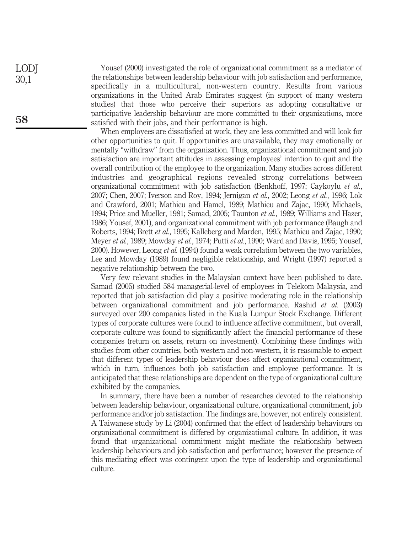Yousef (2000) investigated the role of organizational commitment as a mediator of the relationships between leadership behaviour with job satisfaction and performance, specifically in a multicultural, non-western country. Results from various organizations in the United Arab Emirates suggest (in support of many western studies) that those who perceive their superiors as adopting consultative or participative leadership behaviour are more committed to their organizations, more satisfied with their jobs, and their performance is high.

When employees are dissatisfied at work, they are less committed and will look for other opportunities to quit. If opportunities are unavailable, they may emotionally or mentally "withdraw" from the organization. Thus, organizational commitment and job satisfaction are important attitudes in assessing employees' intention to quit and the overall contribution of the employee to the organization. Many studies across different industries and geographical regions revealed strong correlations between organizational commitment with job satisfaction (Benkhoff, 1997; Caykoylu et al., 2007; Chen, 2007; Iverson and Roy, 1994; Jernigan *et al.*, 2002; Leong *et al.*, 1996; Lok and Crawford, 2001; Mathieu and Hamel, 1989; Mathieu and Zajac, 1990; Michaels, 1994; Price and Mueller, 1981; Samad, 2005; Taunton et al., 1989; Williams and Hazer, 1986; Yousef, 2001), and organizational commitment with job performance (Baugh and Roberts, 1994; Brett et al., 1995; Kalleberg and Marden, 1995; Mathieu and Zajac, 1990; Meyer et al., 1989; Mowday et al., 1974; Putti et al., 1990; Ward and Davis, 1995; Yousef, 2000). However, Leong *et al.* (1994) found a weak correlation between the two variables, Lee and Mowday (1989) found negligible relationship, and Wright (1997) reported a negative relationship between the two.

Very few relevant studies in the Malaysian context have been published to date. Samad (2005) studied 584 managerial-level of employees in Telekom Malaysia, and reported that job satisfaction did play a positive moderating role in the relationship between organizational commitment and job performance. Rashid et al. (2003) surveyed over 200 companies listed in the Kuala Lumpur Stock Exchange. Different types of corporate cultures were found to influence affective commitment, but overall, corporate culture was found to significantly affect the financial performance of these companies (return on assets, return on investment). Combining these findings with studies from other countries, both western and non-western, it is reasonable to expect that different types of leadership behaviour does affect organizational commitment, which in turn, influences both job satisfaction and employee performance. It is anticipated that these relationships are dependent on the type of organizational culture exhibited by the companies.

In summary, there have been a number of researches devoted to the relationship between leadership behaviour, organizational culture, organizational commitment, job performance and/or job satisfaction. The findings are, however, not entirely consistent. A Taiwanese study by Li (2004) confirmed that the effect of leadership behaviours on organizational commitment is differed by organizational culture. In addition, it was found that organizational commitment might mediate the relationship between leadership behaviours and job satisfaction and performance; however the presence of this mediating effect was contingent upon the type of leadership and organizational culture.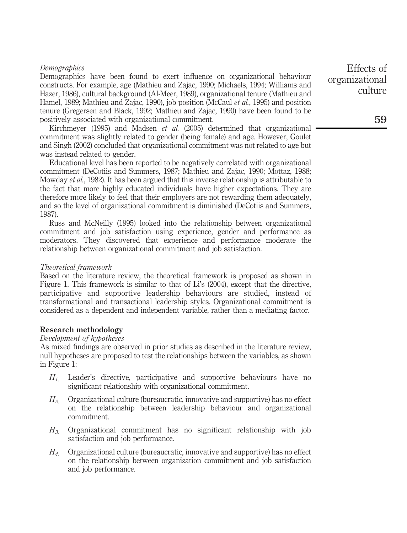# Demographics

Demographics have been found to exert influence on organizational behaviour constructs. For example, age (Mathieu and Zajac, 1990; Michaels, 1994; Williams and Hazer, 1986), cultural background (Al-Meer, 1989), organizational tenure (Mathieu and Hamel, 1989; Mathieu and Zajac, 1990), job position (McCaul et al., 1995) and position tenure (Gregersen and Black, 1992; Mathieu and Zajac, 1990) have been found to be positively associated with organizational commitment.

Kirchmeyer (1995) and Madsen *et al.* (2005) determined that organizational commitment was slightly related to gender (being female) and age. However, Goulet and Singh (2002) concluded that organizational commitment was not related to age but was instead related to gender.

Educational level has been reported to be negatively correlated with organizational commitment (DeCotiis and Summers, 1987; Mathieu and Zajac, 1990; Mottaz, 1988; Mowday et al., 1982). It has been argued that this inverse relationship is attributable to the fact that more highly educated individuals have higher expectations. They are therefore more likely to feel that their employers are not rewarding them adequately, and so the level of organizational commitment is diminished (DeCotiis and Summers, 1987).

Russ and McNeilly (1995) looked into the relationship between organizational commitment and job satisfaction using experience, gender and performance as moderators. They discovered that experience and performance moderate the relationship between organizational commitment and job satisfaction.

## Theoretical framework

Based on the literature review, the theoretical framework is proposed as shown in Figure 1. This framework is similar to that of Li's (2004), except that the directive, participative and supportive leadership behaviours are studied, instead of transformational and transactional leadership styles. Organizational commitment is considered as a dependent and independent variable, rather than a mediating factor.

## Research methodology

### Development of hypotheses

As mixed findings are observed in prior studies as described in the literature review, null hypotheses are proposed to test the relationships between the variables, as shown in Figure 1:

- $H_1$  Leader's directive, participative and supportive behaviours have no significant relationship with organizational commitment.
- $H<sub>2</sub>$  Organizational culture (bureaucratic, innovative and supportive) has no effect on the relationship between leadership behaviour and organizational commitment.
- $H_3$  Organizational commitment has no significant relationship with job satisfaction and job performance.
- $H_4$  Organizational culture (bureaucratic, innovative and supportive) has no effect on the relationship between organization commitment and job satisfaction and job performance.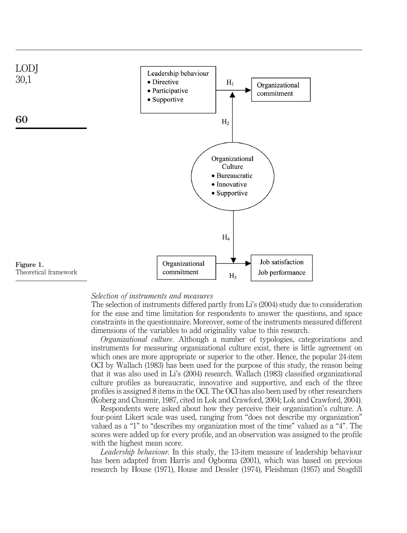

## Selection of instruments and measures

The selection of instruments differed partly from Li's (2004) study due to consideration for the ease and time limitation for respondents to answer the questions, and space constraints in the questionnaire. Moreover, some of the instruments measured different dimensions of the variables to add originality value to this research.

Organizational culture. Although a number of typologies, categorizations and instruments for measuring organizational culture exist, there is little agreement on which ones are more appropriate or superior to the other. Hence, the popular 24-item OCI by Wallach (1983) has been used for the purpose of this study, the reason being that it was also used in Li's (2004) research. Wallach (1983) classified organizational culture profiles as bureaucratic, innovative and supportive, and each of the three profiles is assigned 8 items in the OCI. The OCI has also been used by other researchers (Koberg and Chusmir, 1987, cited in Lok and Crawford, 2004; Lok and Crawford, 2004).

Respondents were asked about how they perceive their organization's culture. A four-point Likert scale was used, ranging from "does not describe my organization" valued as a "1" to "describes my organization most of the time" valued as a "4". The scores were added up for every profile, and an observation was assigned to the profile with the highest mean score.

Leadership behaviour. In this study, the 13-item measure of leadership behaviour has been adapted from Harris and Ogbonna (2001), which was based on previous research by House (1971), House and Dessler (1974), Fleishman (1957) and Stogdill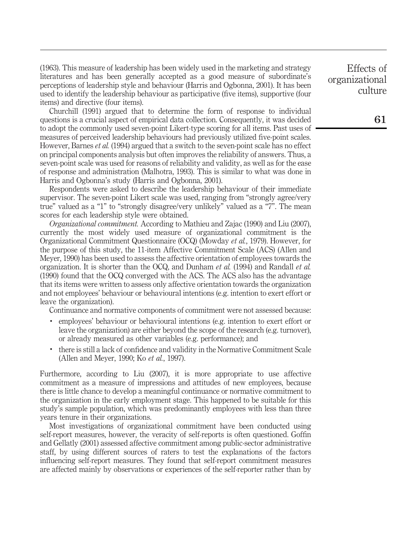(1963). This measure of leadership has been widely used in the marketing and strategy literatures and has been generally accepted as a good measure of subordinate's perceptions of leadership style and behaviour (Harris and Ogbonna, 2001). It has been used to identify the leadership behaviour as participative (five items), supportive (four items) and directive (four items).

Churchill (1991) argued that to determine the form of response to individual questions is a crucial aspect of empirical data collection. Consequently, it was decided to adopt the commonly used seven-point Likert-type scoring for all items. Past uses of measures of perceived leadership behaviours had previously utilized five-point scales. However, Barnes et al. (1994) argued that a switch to the seven-point scale has no effect on principal components analysis but often improves the reliability of answers. Thus, a seven-point scale was used for reasons of reliability and validity, as well as for the ease of response and administration (Malhotra, 1993). This is similar to what was done in Harris and Ogbonna's study (Harris and Ogbonna, 2001).

Respondents were asked to describe the leadership behaviour of their immediate supervisor. The seven-point Likert scale was used, ranging from "strongly agree/very true" valued as a "1" to "strongly disagree/very unlikely" valued as a "7". The mean scores for each leadership style were obtained.

Organizational commitment. According to Mathieu and Zajac (1990) and Liu (2007), currently the most widely used measure of organizational commitment is the Organizational Commitment Questionnaire (OCQ) (Mowday et al., 1979). However, for the purpose of this study, the 11-item Affective Commitment Scale (ACS) (Allen and Meyer, 1990) has been used to assess the affective orientation of employees towards the organization. It is shorter than the OCQ, and Dunham et al. (1994) and Randall et al. (1990) found that the OCQ converged with the ACS. The ACS also has the advantage that its items were written to assess only affective orientation towards the organization and not employees' behaviour or behavioural intentions (e.g. intention to exert effort or leave the organization).

Continuance and normative components of commitment were not assessed because:

- . employees' behaviour or behavioural intentions (e.g. intention to exert effort or leave the organization) are either beyond the scope of the research (e.g. turnover), or already measured as other variables (e.g. performance); and
- . there is still a lack of confidence and validity in the Normative Commitment Scale (Allen and Meyer, 1990; Ko et al., 1997).

Furthermore, according to Liu (2007), it is more appropriate to use affective commitment as a measure of impressions and attitudes of new employees, because there is little chance to develop a meaningful continuance or normative commitment to the organization in the early employment stage. This happened to be suitable for this study's sample population, which was predominantly employees with less than three years tenure in their organizations.

Most investigations of organizational commitment have been conducted using self-report measures, however, the veracity of self-reports is often questioned. Goffin and Gellatly (2001) assessed affective commitment among public-sector administrative staff, by using different sources of raters to test the explanations of the factors influencing self-report measures. They found that self-report commitment measures are affected mainly by observations or experiences of the self-reporter rather than by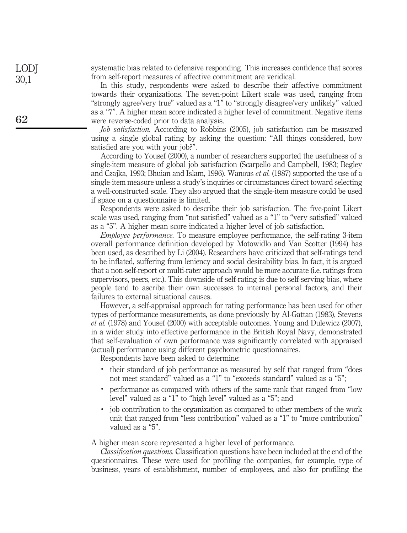systematic bias related to defensive responding. This increases confidence that scores from self-report measures of affective commitment are veridical.

In this study, respondents were asked to describe their affective commitment towards their organizations. The seven-point Likert scale was used, ranging from "strongly agree/very true" valued as a "1" to "strongly disagree/very unlikely" valued as a "7". A higher mean score indicated a higher level of commitment. Negative items were reverse-coded prior to data analysis.

Job satisfaction. According to Robbins (2005), job satisfaction can be measured using a single global rating by asking the question: "All things considered, how satisfied are you with your job?".

According to Yousef (2000), a number of researchers supported the usefulness of a single-item measure of global job satisfaction (Scarpello and Campbell, 1983; Begley and Czajka, 1993; Bhuian and Islam, 1996). Wanous et al. (1987) supported the use of a single-item measure unless a study's inquiries or circumstances direct toward selecting a well-constructed scale. They also argued that the single-item measure could be used if space on a questionnaire is limited.

Respondents were asked to describe their job satisfaction. The five-point Likert scale was used, ranging from "not satisfied" valued as a "1" to "very satisfied" valued as a "5". A higher mean score indicated a higher level of job satisfaction.

Employee performance. To measure employee performance, the self-rating 3-item overall performance definition developed by Motowidlo and Van Scotter (1994) has been used, as described by Li (2004). Researchers have criticized that self-ratings tend to be inflated, suffering from leniency and social desirability bias. In fact, it is argued that a non-self-report or multi-rater approach would be more accurate (i.e. ratings from supervisors, peers, etc.). This downside of self-rating is due to self-serving bias, where people tend to ascribe their own successes to internal personal factors, and their failures to external situational causes.

However, a self-appraisal approach for rating performance has been used for other types of performance measurements, as done previously by Al-Gattan (1983), Stevens et al. (1978) and Yousef (2000) with acceptable outcomes. Young and Dulewicz (2007), in a wider study into effective performance in the British Royal Navy, demonstrated that self-evaluation of own performance was significantly correlated with appraised (actual) performance using different psychometric questionnaires.

Respondents have been asked to determine:

- . their standard of job performance as measured by self that ranged from "does not meet standard" valued as a "1" to "exceeds standard" valued as a "5";
- . performance as compared with others of the same rank that ranged from "low level" valued as a "1" to "high level" valued as a "5"; and
- . job contribution to the organization as compared to other members of the work unit that ranged from "less contribution" valued as a "1" to "more contribution" valued as a "5".

## A higher mean score represented a higher level of performance.

Classification questions. Classification questions have been included at the end of the questionnaires. These were used for profiling the companies, for example, type of business, years of establishment, number of employees, and also for profiling the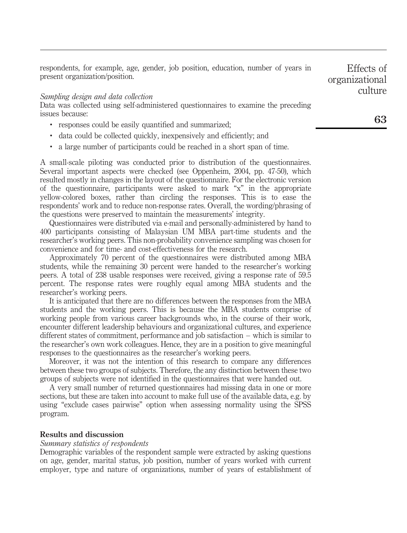respondents, for example, age, gender, job position, education, number of years in present organization/position.

#### Sampling design and data collection

Data was collected using self-administered questionnaires to examine the preceding issues because:

- . responses could be easily quantified and summarized;
- . data could be collected quickly, inexpensively and efficiently; and
- . a large number of participants could be reached in a short span of time.

A small-scale piloting was conducted prior to distribution of the questionnaires. Several important aspects were checked (see Oppenheim, 2004, pp. 47-50), which resulted mostly in changes in the layout of the questionnaire. For the electronic version of the questionnaire, participants were asked to mark "x" in the appropriate yellow-colored boxes, rather than circling the responses. This is to ease the respondents' work and to reduce non-response rates. Overall, the wording/phrasing of the questions were preserved to maintain the measurements' integrity.

Questionnaires were distributed via e-mail and personally-administered by hand to 400 participants consisting of Malaysian UM MBA part-time students and the researcher's working peers. This non-probability convenience sampling was chosen for convenience and for time- and cost-effectiveness for the research.

Approximately 70 percent of the questionnaires were distributed among MBA students, while the remaining 30 percent were handed to the researcher's working peers. A total of 238 usable responses were received, giving a response rate of 59.5 percent. The response rates were roughly equal among MBA students and the researcher's working peers.

It is anticipated that there are no differences between the responses from the MBA students and the working peers. This is because the MBA students comprise of working people from various career backgrounds who, in the course of their work, encounter different leadership behaviours and organizational cultures, and experience different states of commitment, performance and job satisfaction – which is similar to the researcher's own work colleagues. Hence, they are in a position to give meaningful responses to the questionnaires as the researcher's working peers.

Moreover, it was not the intention of this research to compare any differences between these two groups of subjects. Therefore, the any distinction between these two groups of subjects were not identified in the questionnaires that were handed out.

A very small number of returned questionnaires had missing data in one or more sections, but these are taken into account to make full use of the available data, e.g. by using "exclude cases pairwise" option when assessing normality using the SPSS program.

# Results and discussion

### Summary statistics of respondents

Demographic variables of the respondent sample were extracted by asking questions on age, gender, marital status, job position, number of years worked with current employer, type and nature of organizations, number of years of establishment of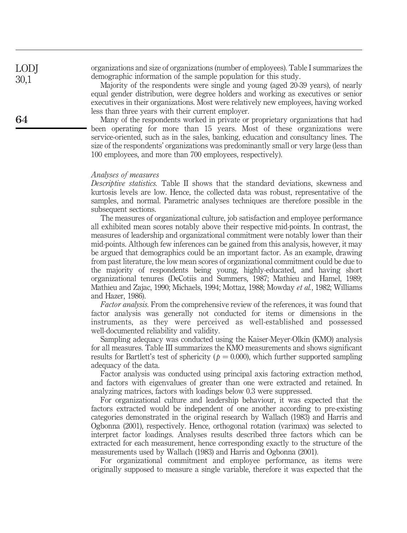LODJ 30,1

64

organizations and size of organizations (number of employees). Table I summarizes the demographic information of the sample population for this study.

Majority of the respondents were single and young (aged 20-39 years), of nearly equal gender distribution, were degree holders and working as executives or senior executives in their organizations. Most were relatively new employees, having worked less than three years with their current employer.

Many of the respondents worked in private or proprietary organizations that had been operating for more than 15 years. Most of these organizations were service-oriented, such as in the sales, banking, education and consultancy lines. The size of the respondents' organizations was predominantly small or very large (less than 100 employees, and more than 700 employees, respectively).

## Analyses of measures

Descriptive statistics. Table II shows that the standard deviations, skewness and kurtosis levels are low. Hence, the collected data was robust, representative of the samples, and normal. Parametric analyses techniques are therefore possible in the subsequent sections.

The measures of organizational culture, job satisfaction and employee performance all exhibited mean scores notably above their respective mid-points. In contrast, the measures of leadership and organizational commitment were notably lower than their mid-points. Although few inferences can be gained from this analysis, however, it may be argued that demographics could be an important factor. As an example, drawing from past literature, the low mean scores of organizational commitment could be due to the majority of respondents being young, highly-educated, and having short organizational tenures (DeCotiis and Summers, 1987; Mathieu and Hamel, 1989; Mathieu and Zajac, 1990; Michaels, 1994; Mottaz, 1988; Mowday et al., 1982; Williams and Hazer, 1986).

Factor analysis. From the comprehensive review of the references, it was found that factor analysis was generally not conducted for items or dimensions in the instruments, as they were perceived as well-established and possessed well-documented reliability and validity.

Sampling adequacy was conducted using the Kaiser-Meyer-Olkin (KMO) analysis for all measures. Table III summarizes the KMO measurements and shows significant results for Bartlett's test of sphericity ( $p = 0.000$ ), which further supported sampling adequacy of the data.

Factor analysis was conducted using principal axis factoring extraction method, and factors with eigenvalues of greater than one were extracted and retained. In analyzing matrices, factors with loadings below 0.3 were suppressed.

For organizational culture and leadership behaviour, it was expected that the factors extracted would be independent of one another according to pre-existing categories demonstrated in the original research by Wallach (1983) and Harris and Ogbonna (2001), respectively. Hence, orthogonal rotation (varimax) was selected to interpret factor loadings. Analyses results described three factors which can be extracted for each measurement, hence corresponding exactly to the structure of the measurements used by Wallach (1983) and Harris and Ogbonna (2001).

For organizational commitment and employee performance, as items were originally supposed to measure a single variable, therefore it was expected that the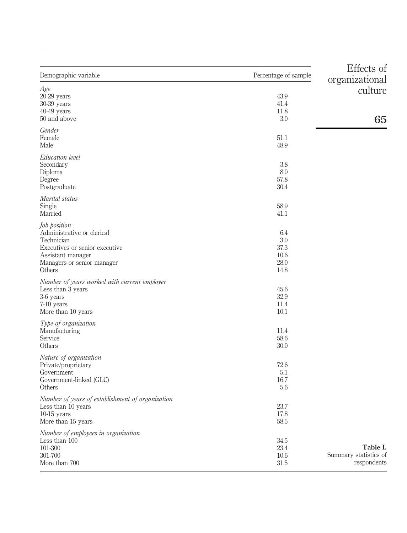| Demographic variable                             | Percentage of sample | Effects of            |
|--------------------------------------------------|----------------------|-----------------------|
|                                                  |                      | organizational        |
| Age<br>$20-29$ years                             | 43.9                 | culture               |
| 30-39 years                                      | 41.4                 |                       |
| $40-49$ years                                    | 11.8                 |                       |
| 50 and above                                     | 3.0                  | 65                    |
| Gender                                           |                      |                       |
| Female                                           | 51.1                 |                       |
| Male                                             | 48.9                 |                       |
| Education level                                  |                      |                       |
| Secondary                                        | 3.8                  |                       |
| Diploma                                          | 8.0                  |                       |
| Degree                                           | 57.8                 |                       |
| Postgraduate                                     | 30.4                 |                       |
| Marital status                                   |                      |                       |
| Single                                           | 58.9                 |                       |
| Married                                          | 41.1                 |                       |
| Job position                                     |                      |                       |
| Administrative or clerical                       | 6.4                  |                       |
| Technician                                       | 3.0                  |                       |
| Executives or senior executive                   | 37.3                 |                       |
| Assistant manager                                | 10.6                 |                       |
| Managers or senior manager                       | 28.0                 |                       |
| Others                                           | 14.8                 |                       |
| Number of years worked with current employer     |                      |                       |
| Less than 3 years                                | 45.6                 |                       |
| 3-6 years                                        | 32.9                 |                       |
| 7-10 years                                       | 11.4                 |                       |
| More than 10 years                               | 10.1                 |                       |
| Type of organization                             |                      |                       |
| Manufacturing                                    | 11.4                 |                       |
| Service                                          | 58.6                 |                       |
| Others                                           | 30.0                 |                       |
| Nature of organization                           |                      |                       |
| Private/proprietary                              | 72.6                 |                       |
| Government                                       | 5.1                  |                       |
| Government-linked (GLC)                          | 16.7                 |                       |
| Others                                           | 5.6                  |                       |
| Number of years of establishment of organization |                      |                       |
| Less than 10 years                               | 23.7                 |                       |
| $10-15$ years                                    | 17.8                 |                       |
| More than 15 years                               | 58.5                 |                       |
| Number of employees in organization              |                      |                       |
| Less than 100                                    | $34.5\,$             |                       |
| 101-300                                          | 23.4                 | Table I.              |
| 301-700                                          | 10.6                 | Summary statistics of |
| More than 700                                    | $31.5\,$             | respondents           |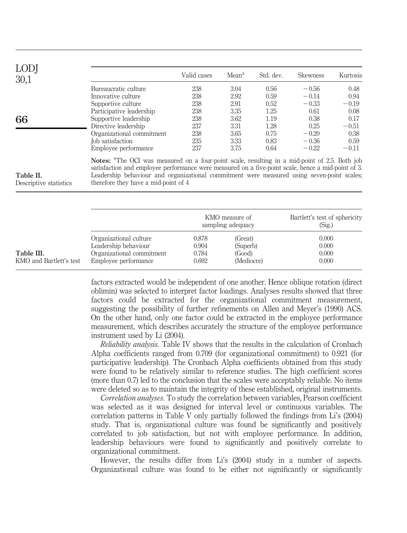| LOD]<br>30,1 |                           | Valid cases | Mean <sup>a</sup> | Std. dev. | <b>Skewness</b> | Kurtosis |
|--------------|---------------------------|-------------|-------------------|-----------|-----------------|----------|
|              | Bureaucratic culture      | 238         | 3.04              | 0.56      | $-0.56$         | 0.48     |
|              | Innovative culture        | 238         | 2.92              | 0.59      | $-0.14$         | 0.94     |
|              | Supportive culture        | 238         | 2.91              | 0.52      | $-0.33$         | $-0.19$  |
|              | Participative leadership  | 238         | 3.35              | 1.25      | 0.61            | 0.08     |
| 66           | Supportive leadership     | 238         | 3.62              | 1.19      | 0.38            | 0.17     |
|              | Directive leadership      | 237         | 3.31              | 1.28      | 0.25            | $-0.51$  |
|              | Organizational commitment | 238         | 3.65              | 0.75      | $-0.20$         | 0.38     |
|              | Job satisfaction          | 235         | 3.33              | 0.83      | $-0.36$         | 0.59     |
|              | Employee performance      | 237         | 3.75              | 0.64      | $-0.22$         | $-0.11$  |

Table II. Descriptive statistics

Notes: <sup>a</sup>The OCI was measured on a four-point scale, resulting in a mid-point of 2.5. Both job satisfaction and employee performance were measured on a five-point scale, hence a mid-point of 3. Leadership behaviour and organizational commitment were measured using seven-point scales; therefore they have a mid-point of 4

|                                       |                                                                                                     |                                  | KMO measure of<br>sampling adequacy         | Bartlett's test of sphericity<br>(Sig.) |  |
|---------------------------------------|-----------------------------------------------------------------------------------------------------|----------------------------------|---------------------------------------------|-----------------------------------------|--|
| Table III.<br>KMO and Bartlett's test | Organizational culture<br>Leadership behaviour<br>Organizational commitment<br>Employee performance | 0.878<br>0.904<br>0.784<br>0.692 | (Great)<br>(Superb)<br>(Good)<br>(Mediocre) | 0.000<br>0.000<br>0.000<br>0.000        |  |

factors extracted would be independent of one another. Hence oblique rotation (direct oblimin) was selected to interpret factor loadings. Analyses results showed that three factors could be extracted for the organizational commitment measurement, suggesting the possibility of further refinements on Allen and Meyer's (1990) ACS. On the other hand, only one factor could be extracted in the employee performance measurement, which describes accurately the structure of the employee performance instrument used by Li (2004).

Reliability analysis. Table IV shows that the results in the calculation of Cronbach Alpha coefficients ranged from 0.709 (for organizational commitment) to 0.921 (for participative leadership). The Cronbach Alpha coefficients obtained from this study were found to be relatively similar to reference studies. The high coefficient scores (more than 0.7) led to the conclusion that the scales were acceptably reliable. No items were deleted so as to maintain the integrity of these established, original instruments.

Correlation analyses. To study the correlation between variables, Pearson coefficient was selected as it was designed for interval level or continuous variables. The correlation patterns in Table V only partially followed the findings from Li's (2004) study. That is, organizational culture was found be significantly and positively correlated to job satisfaction, but not with employee performance. In addition, leadership behaviours were found to significantly and positively correlate to organizational commitment.

However, the results differ from Li's (2004) study in a number of aspects. Organizational culture was found to be either not significantly or significantly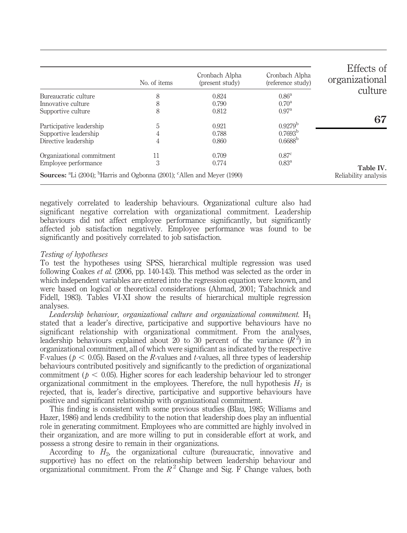|                                                                                                              | No. of items | Cronbach Alpha<br>(present study) | Cronbach Alpha<br>(reference study) | Effects of<br>organizational |
|--------------------------------------------------------------------------------------------------------------|--------------|-----------------------------------|-------------------------------------|------------------------------|
| Bureaucratic culture                                                                                         | 8            | 0.824                             | $0.86^{\rm a}$                      | culture                      |
| Innovative culture                                                                                           | 8            | 0.790                             | $0.70^{\rm a}$                      |                              |
| Supportive culture                                                                                           | 8            | 0.812                             | 0.97 <sup>a</sup>                   |                              |
|                                                                                                              |              |                                   |                                     |                              |
| Participative leadership                                                                                     | 5            | 0.921                             | 0.9279 <sup>b</sup>                 |                              |
| Supportive leadership                                                                                        | 4            | 0.788                             | 0.7693 <sup>b</sup>                 |                              |
| Directive leadership                                                                                         | 4            | 0.860                             | $0.6688^{b}$                        |                              |
| Organizational commitment                                                                                    | 11           | 0.709                             | 0.87 <sup>c</sup>                   |                              |
| Employee performance                                                                                         | 3            | 0.774                             | $0.83^{\rm a}$                      |                              |
|                                                                                                              |              |                                   |                                     | Table IV.                    |
| Sources: <sup>a</sup> Li (2004); <sup>b</sup> Harris and Ogbonna (2001); <sup>c</sup> Allen and Meyer (1990) |              |                                   |                                     | Reliability analysis         |

negatively correlated to leadership behaviours. Organizational culture also had significant negative correlation with organizational commitment. Leadership behaviours did not affect employee performance significantly, but significantly affected job satisfaction negatively. Employee performance was found to be significantly and positively correlated to job satisfaction.

## Testing of hypotheses

To test the hypotheses using SPSS, hierarchical multiple regression was used following Coakes et al. (2006, pp. 140-143). This method was selected as the order in which independent variables are entered into the regression equation were known, and were based on logical or theoretical considerations (Ahmad, 2001; Tabachnick and Fidell, 1983). Tables VI-XI show the results of hierarchical multiple regression analyses.

Leadership behaviour, organizational culture and organizational commitment.  $H_1$ stated that a leader's directive, participative and supportive behaviours have no significant relationship with organizational commitment. From the analyses, leadership behaviours explained about 20 to 30 percent of the variance  $(R^2)$  in organizational commitment, all of which were significant as indicated by the respective F-values ( $p < 0.05$ ). Based on the R-values and t-values, all three types of leadership behaviours contributed positively and significantly to the prediction of organizational commitment ( $p < 0.05$ ). Higher scores for each leadership behaviour led to stronger organizational commitment in the employees. Therefore, the null hypothesis  $H_1$  is rejected, that is, leader's directive, participative and supportive behaviours have positive and significant relationship with organizational commitment.

This finding is consistent with some previous studies (Blau, 1985; Williams and Hazer, 1986) and lends credibility to the notion that leadership does play an influential role in generating commitment. Employees who are committed are highly involved in their organization, and are more willing to put in considerable effort at work, and possess a strong desire to remain in their organizations.

According to  $H_2$ , the organizational culture (bureaucratic, innovative and supportive) has no effect on the relationship between leadership behaviour and organizational commitment. From the  $R^2$  Change and Sig. F Change values, both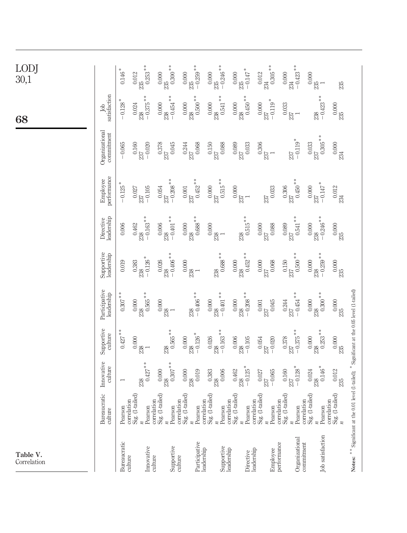| Table V.<br>Correlation                                                                        |                                                                                                                       |                                                                  |                                                           |                                                                      |                                                                      |                                                           |                                                                      |                                                                      | 68                                                        | LODJ<br>30,1                                          |
|------------------------------------------------------------------------------------------------|-----------------------------------------------------------------------------------------------------------------------|------------------------------------------------------------------|-----------------------------------------------------------|----------------------------------------------------------------------|----------------------------------------------------------------------|-----------------------------------------------------------|----------------------------------------------------------------------|----------------------------------------------------------------------|-----------------------------------------------------------|-------------------------------------------------------|
|                                                                                                | Bureaucratic<br>$\mathfrak{S}$<br>cultur                                                                              | Innovative<br>culture                                            | Supportive<br>culture                                     | Participative<br>leadership                                          | Supportive<br>leadership                                             | eadership<br>Directive                                    | performance<br>Employee                                              | Organizational<br>commitment                                         | Job<br>satisfaction                                       |                                                       |
| Bureaucratic<br>culture                                                                        | Pearson                                                                                                               |                                                                  | $0.427$ **                                                | $0.307$ $^{\ast\ast}$                                                | 0.019                                                                | 0.006                                                     | $-0.125$                                                             | $-0.065$                                                             | $-0.128$ <sup>*</sup>                                     | $0.146$ $^{\ast}$                                     |
| Innovative<br>culture                                                                          | correlation Sig. (1-tailed) $\boldsymbol{n}$<br>Pearson<br>correlation                                                | $0.427$ **<br>238                                                | $\begin{array}{c} 0.000 \\ 238 \end{array}$               | $0.565$ $^{\ast\ast}$<br>$\begin{array}{c} 0.000 \\ 238 \end{array}$ | $-0.126$ <sup>*</sup><br>$\begin{array}{c} 0.383 \\ 238 \end{array}$ | $-0.163**$<br>$\begin{array}{c} 0.462 \\ 238 \end{array}$ | $-0.105$<br>$\frac{0.027}{237}$                                      | $\begin{array}{c} 0.160 \\ 237 \end{array}$<br>$-0.020$              | $-0.375**$<br>$\begin{array}{c} 0.024 \\ 238 \end{array}$ | $0.253\,$ **<br>$\frac{0.012}{235}$                   |
| Supportive<br>culture                                                                          | Sig. (1-tailed) $\displaystyle{n}$<br>Pearson                                                                         | $0.307$ $^{\ast\ast}$<br>$\frac{0.000}{238}$                     | $^{238}$ $^{**}$                                          | 0.000<br>$238$ $\,$                                                  | $-0.406**$<br>$\frac{0.026}{238}$                                    | $- \, 0.401^{\, *}$<br>$\frac{0.006}{238}$                | $-0.208$ **<br>$\begin{array}{c} 0.054 \\ 237 \end{array}$           | $\begin{array}{c} 0.378 \\ 237 \end{array}$<br>0.045                 | $-0.454$ $^{\ast}$<br>$\frac{0.000}{238}$                 | $\frac{0.000}{235}$<br>$0.300**$                      |
|                                                                                                | correlation<br>Sig. (1-tailed)<br>$n$<br>Pearson                                                                      | $\begin{array}{c} 0.000 \\ 238 \end{array}$                      | $\frac{0.000}{238}$                                       |                                                                      | $\begin{array}{c} 0.000 \\ 238 \end{array}$                          | $\frac{0.000}{238}$                                       | $\begin{array}{c} 0.001 \\ 237 \end{array}$                          | $\begin{array}{c} 0.244 \\ 237 \end{array}$                          | $\begin{array}{c} 0.000 \\ 238 \end{array}$               | $\frac{0.000}{235}$ **                                |
| Participative<br>leadership                                                                    | correlation                                                                                                           | 0.019                                                            | $-0.126$ <sup>*</sup>                                     | $^{238}_{-0.406}$ **                                                 |                                                                      | $0.688^{\,*}$                                             | $0.452\,$ **                                                         | 0.068                                                                | $0.500$ $^{\ast}$                                         |                                                       |
| Supportive<br>leadership                                                                       | Sig. (1-tailed) $\frac{n}{n}$<br>Pearson                                                                              | 0.006<br>$\begin{array}{c} 0.383 \\ 238 \end{array}$             | $-0.163**$<br>$\begin{array}{c} 0.026 \\ 238 \end{array}$ | $-0.401$ **<br>$\begin{array}{c} 0.000 \\ 238 \end{array}$           | $0.688^{\,*}$<br>238                                                 | $\begin{array}{c} 0.000 \\ 238 \end{array}$               | $0.515$ $^{\ast\ast}$<br>$\begin{array}{c} 0.000 \\ 237 \end{array}$ | $\begin{array}{c} 0.150 \\ 237 \end{array}$<br>0.088                 | $0.541$ **<br>$\begin{array}{c} 0.000 \\ 238 \end{array}$ | $-$ 0.246 $^{\ast}$<br>$\frac{0.000}{235}$            |
|                                                                                                | correlation<br>Sig. (1-tailed)<br>$\frac{n}{P}$<br>Pearson<br>correlation                                             | $\begin{array}{c} 0.462 \\ 238 \\ -0.125 \end{array} *$          | $\begin{array}{c} 0.006 \\ 238 \end{array}$<br>$-0.105$   | $-0.208$ $^{\ast\ast}$<br>$\frac{0.000}{238}$                        | $0.452**$<br>$\frac{0.000}{238}$                                     | $0.515$ $^{\ast}$<br>238                                  | $\begin{array}{c} 0.000 \\ 237 \\ 1 \end{array}$                     | $\begin{array}{c} 0.089 \\ 237 \\ 0.033 \end{array}$                 | $0.450$ $^{\ast}$<br>$\frac{0.000}{238}$                  | $\begin{array}{c} 0.000 \\ 235 \\ -0.147 \end{array}$ |
| Directive<br>leadership                                                                        | Sig. (1-tailed) $\displaystyle{n}$                                                                                    | $\begin{array}{c} 0.027 \\ 237 \\ -0.065 \end{array}$            | $\begin{array}{c} 0.054 \\ 237 \end{array}$               | $\begin{array}{c} 0.001 \\ 237 \end{array}$                          | $\begin{array}{c} 0.000 \\ 237 \end{array}$                          | $\begin{array}{c} 0.000 \\ 237 \end{array}$               | 237                                                                  | $\begin{array}{c} 0.306 \\ 237 \\ 1 \end{array}$                     | $\begin{array}{c} 0.000 \\ 237 \end{array}$               | $\frac{0.012}{234}$                                   |
| performance<br>Employee                                                                        | Sig. (1-tailed)<br>Pearson<br>correlation                                                                             | $\begin{array}{c} 0.160 \\ 237 \end{array}$                      | $-0.020$<br>$\begin{array}{c} 0.378 \\ 237 \end{array}$   | 0.045                                                                | 0.068<br>$\begin{array}{c} 0.150 \\ 237 \end{array}$                 | 0.088<br>$\begin{array}{c} 0.089 \\ 237 \end{array}$      | $\begin{array}{c} 0.306 \\ 237 \end{array}$<br>0.033                 |                                                                      | $-0.119$ <sup>*</sup>                                     | $0.305$ $^{\ast\,*}$<br>$\frac{0.000}{234}$           |
| Organizational<br>commitment                                                                   | $n$<br>Pearson                                                                                                        | $-0.128$ <sup>*</sup>                                            | $-0.375**$                                                | $\begin{array}{c} 0.244 \\ 237 \\ -0.454 \end{array} **$             | $0.500$ $^{\ast}$                                                    | $0.541**$                                                 | $0.450**$                                                            | $-0.119$<br>237                                                      | $\frac{0.033}{237}$                                       | $-0.423**$                                            |
| Job satisfaction                                                                               | correlation<br>Sig. (1-tailed)<br>Pearson<br>$\boldsymbol{n}$                                                         | $0.146$ $^{\ast}$<br>$\begin{array}{c} 0.024 \\ 238 \end{array}$ | $0.253***$<br>$\begin{array}{c} 0.000 \\ 238 \end{array}$ | $0.300\,^{\ast\ast}$<br>$\begin{array}{c} 0.000 \\ 238 \end{array}$  | $-0.259$ **<br>$\frac{0.000}{238}$                                   | $-0.246**$<br>$\begin{array}{c} 0.000 \\ 238 \end{array}$ | $-0.147$<br>$\begin{array}{c} 0.000 \\ 237 \end{array}$              | $0.305$ $^{\ast\ast}$<br>$\begin{array}{c} 0.033 \\ 237 \end{array}$ | $-0.423**$<br>238                                         | $\begin{array}{c} 0.000 \\ 235 \\ 1 \end{array}$      |
|                                                                                                | correlation $\label{eq:3.1} \begin{array}{ll} \text{correlation} \\ \text{Sig.} \ (1\text{-tailed}) \\ n \end{array}$ | $\begin{array}{c} 0.012 \\ 235 \end{array}$                      | $0.000$<br>$235$                                          | $\begin{array}{c} 0.000 \\ 235 \end{array}$                          | $\begin{array}{c} 0.000 \\ 235 \end{array}$                          | $0.000$<br>$235$                                          | $\begin{array}{c} 0.012 \\ 234 \end{array}$                          | $\begin{array}{c} 0.000 \\ 234 \end{array}$                          | $\begin{array}{c} 0.000 \\ 235 \end{array}$               | 235                                                   |
| Notes: ** Significant at the 0.01 level (1-tailed); * Significant at the 0.05 level (1-tailed) |                                                                                                                       |                                                                  |                                                           |                                                                      |                                                                      |                                                           |                                                                      |                                                                      |                                                           |                                                       |

68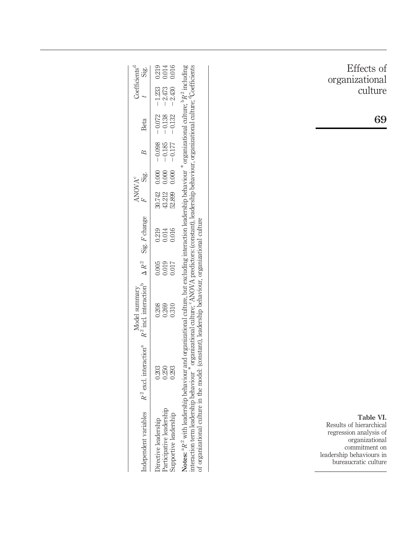| Effects of<br>organizational                                                                                                                          |                                                                                                                                                                                                                                                                                                                                                                                                                                                                               | 0.016<br>0.219<br>0.014                                                   | Coefficients <sup>d</sup><br>Sig.                     |
|-------------------------------------------------------------------------------------------------------------------------------------------------------|-------------------------------------------------------------------------------------------------------------------------------------------------------------------------------------------------------------------------------------------------------------------------------------------------------------------------------------------------------------------------------------------------------------------------------------------------------------------------------|---------------------------------------------------------------------------|-------------------------------------------------------|
| culture                                                                                                                                               |                                                                                                                                                                                                                                                                                                                                                                                                                                                                               | $-2.473$<br>$-2.430$<br>$-1.233$                                          |                                                       |
| 69                                                                                                                                                    |                                                                                                                                                                                                                                                                                                                                                                                                                                                                               | $-0.138$<br>$-0.132$<br>$-0.072$                                          | Beta                                                  |
|                                                                                                                                                       |                                                                                                                                                                                                                                                                                                                                                                                                                                                                               | $-0.185$<br>$-\,0.177$<br>$-0.098$                                        | $\mathcal{B}$                                         |
|                                                                                                                                                       |                                                                                                                                                                                                                                                                                                                                                                                                                                                                               | 0.000<br>0.000<br>0.000                                                   | Sig.                                                  |
|                                                                                                                                                       |                                                                                                                                                                                                                                                                                                                                                                                                                                                                               | 43.212<br>52.899<br>30.742                                                | <b>ANOVA<sup>c</sup></b><br>F                         |
|                                                                                                                                                       |                                                                                                                                                                                                                                                                                                                                                                                                                                                                               | 0.016<br>$0.219$<br>$0.014$                                               | Sig. F change                                         |
|                                                                                                                                                       |                                                                                                                                                                                                                                                                                                                                                                                                                                                                               | 0.019<br>$0.005$<br>0.017                                                 | $\Delta\,R^2$                                         |
|                                                                                                                                                       |                                                                                                                                                                                                                                                                                                                                                                                                                                                                               | 0.208<br>0.269<br>0.310                                                   | Model summary<br>$R^2$ incl. interaction <sup>b</sup> |
|                                                                                                                                                       |                                                                                                                                                                                                                                                                                                                                                                                                                                                                               | 0.203<br>0.250<br>0.293                                                   | $R^2$ excl. interaction <sup>a</sup>                  |
| Table VI.<br>Results of hierarchical<br>regression analysis of<br>organizational<br>commitment on<br>leadership behaviours in<br>bureaucratic culture | Notes: ${}^{3}R$ <sup>2</sup> with leadership behaviour and organizational culture, but excluding interaction leadership behaviour $*$ organizational culture; ${}^{5}R$ <sup>2</sup> including<br>interaction term leadership behaviour * organizational culture; CANOVA predictors: (constant), leadership behaviour, organizational culture; <sup>d</sup> Coefficients<br>of organizational culture in the model: (constant), leadership behaviour, organizational culture | Participative leadership<br>Supportive leadership<br>Directive leadership | Independent variables                                 |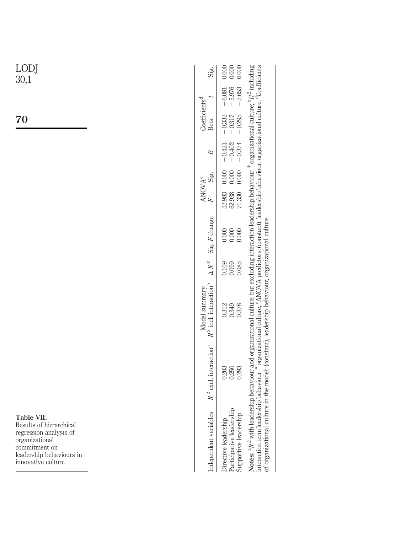| $\begin{array}{c}\text{LODJ} \\ \text{30,1}\end{array}$                                                                                              | Sig.                                                  | $0.000$<br>0.000<br>0.000                                                     |                                                                                                                                                                                                                                                                                                                                                                                                      |
|------------------------------------------------------------------------------------------------------------------------------------------------------|-------------------------------------------------------|-------------------------------------------------------------------------------|------------------------------------------------------------------------------------------------------------------------------------------------------------------------------------------------------------------------------------------------------------------------------------------------------------------------------------------------------------------------------------------------------|
|                                                                                                                                                      | $\ddot{}$                                             | $-5.976$<br>$-5.653$<br>$-6.081$                                              |                                                                                                                                                                                                                                                                                                                                                                                                      |
| 70                                                                                                                                                   | Coefficients <sup>d</sup><br>Beta                     | $-0.332$<br>$-0.295$<br>$-0.317$                                              |                                                                                                                                                                                                                                                                                                                                                                                                      |
|                                                                                                                                                      | $\mathcal{B}%$                                        | $-0.402$<br>$-0.374$<br>$-0.421$                                              |                                                                                                                                                                                                                                                                                                                                                                                                      |
|                                                                                                                                                      | Sig.                                                  | 0.000<br>0.000<br>0.000                                                       |                                                                                                                                                                                                                                                                                                                                                                                                      |
|                                                                                                                                                      | <b>ANOVA<sup>c</sup></b><br>$\mathcal{F}$             | 52.983<br>62.938<br>71.330                                                    |                                                                                                                                                                                                                                                                                                                                                                                                      |
|                                                                                                                                                      | Sig. F change                                         | $0.000$<br>0.000<br>0.000                                                     |                                                                                                                                                                                                                                                                                                                                                                                                      |
|                                                                                                                                                      | $\Delta\,R^2$                                         | 0.099<br>0.109<br>0.085                                                       |                                                                                                                                                                                                                                                                                                                                                                                                      |
|                                                                                                                                                      | $R^2$ incl. interaction <sup>b</sup><br>Model summary | 0.349<br>0.312<br>0.378                                                       |                                                                                                                                                                                                                                                                                                                                                                                                      |
|                                                                                                                                                      | $R^2$ excl. interaction <sup>a</sup>                  | 0.203<br>0.250<br>0.293                                                       | are in the model: (constant), leadership behaviour, organizational culture                                                                                                                                                                                                                                                                                                                           |
| Table VII.<br>Results of hierarchical<br>regression analysis of<br>organizational<br>commitment on<br>leadership behaviours in<br>innovative culture | Independent variables                                 | ₽<br>Participative leadershi<br>Supportive leadership<br>Directive leadership | Notes: ${}^{3}R$ <sup>2</sup> with leadership behaviour and organizational culture, but excluding interaction leadership behaviour $*$ organizational culture; ${}^{5}R$ <sup>2</sup> including<br>interaction term leadership behaviour * organizational culture; °ANOVA predictors: (constant), leadership behaviour, organizational culture; <sup>d</sup> Coefficients<br>of organizational cultu |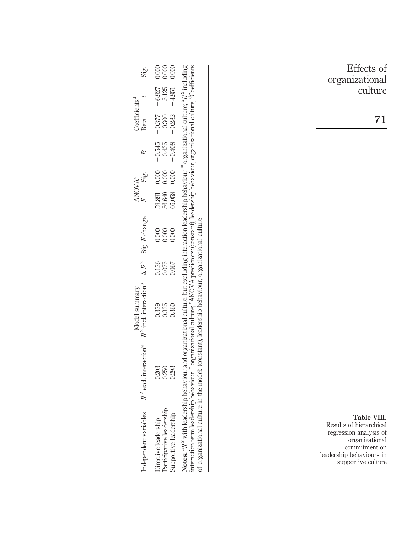| Effects of<br>organizational                                                                                                                          |                                                                                                                                                                                                                                                                                                                                                 | 0.000<br>0.000                                                            | Sig.                                                |
|-------------------------------------------------------------------------------------------------------------------------------------------------------|-------------------------------------------------------------------------------------------------------------------------------------------------------------------------------------------------------------------------------------------------------------------------------------------------------------------------------------------------|---------------------------------------------------------------------------|-----------------------------------------------------|
| culture                                                                                                                                               |                                                                                                                                                                                                                                                                                                                                                 | $-5.125$<br>$-4.951$<br>$-6.927$                                          | $\ddot{}$                                           |
| 71                                                                                                                                                    |                                                                                                                                                                                                                                                                                                                                                 | $-0.282$<br>$-0.300$<br>$-0.377$                                          | Coefficients <sup>d</sup><br>Beta                   |
|                                                                                                                                                       |                                                                                                                                                                                                                                                                                                                                                 | $-0.408$<br>$-0.435$<br>$-0.545$                                          | B                                                   |
|                                                                                                                                                       |                                                                                                                                                                                                                                                                                                                                                 | 0.000<br>0.000<br>0.000                                                   | Sig.                                                |
|                                                                                                                                                       |                                                                                                                                                                                                                                                                                                                                                 | 66.058<br>59.891<br>56.640                                                | <b>ANOVA<sup>c</sup></b><br>F                       |
|                                                                                                                                                       |                                                                                                                                                                                                                                                                                                                                                 | 0.000<br>0.000                                                            | Sig. F change                                       |
|                                                                                                                                                       |                                                                                                                                                                                                                                                                                                                                                 | 0.075<br>0.136<br>0.067                                                   | $\Delta R^2$                                        |
|                                                                                                                                                       |                                                                                                                                                                                                                                                                                                                                                 | 0.335<br>0.325<br>0.360                                                   | Model summary<br>$R^2$ incl. interaction $^{\rm b}$ |
|                                                                                                                                                       |                                                                                                                                                                                                                                                                                                                                                 | 0.203<br>0.250<br>0.293                                                   | $R^2$ excl. interaction <sup>a</sup>                |
| Table VIII.<br>Results of hierarchical<br>regression analysis of<br>organizational<br>commitment on<br>leadership behaviours in<br>supportive culture | <b>Notes:</b> ${}^{3}R^{2}$ with leadership behaviour and organizational culture, but excluding interaction leadership behaviour ${}^{*}$ organizational culture; ${}^{b}R^{2}$ including interaction tends of $R^{2}$ including interactio<br>of organizational culture in the model: (constant), leadership behaviour, organizational culture | Participative leadership<br>Supportive leadership<br>Directive leadership | Independent variables                               |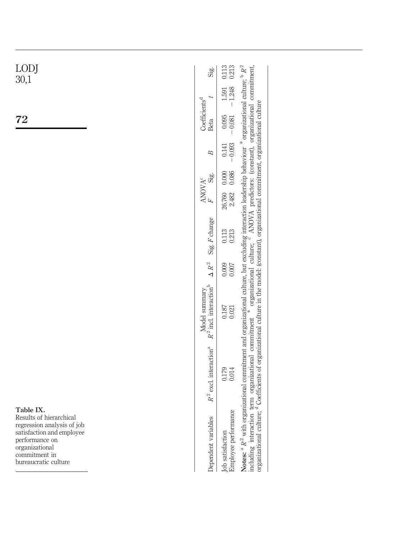| LODJ<br>30,1                                                                                                                                                                 | Sig.                                                  | 0.213<br>0.113                           |                                                                                                                                                                                                                                                                                                                                                                                                                         |
|------------------------------------------------------------------------------------------------------------------------------------------------------------------------------|-------------------------------------------------------|------------------------------------------|-------------------------------------------------------------------------------------------------------------------------------------------------------------------------------------------------------------------------------------------------------------------------------------------------------------------------------------------------------------------------------------------------------------------------|
|                                                                                                                                                                              |                                                       | $-1.248$<br>$-591$                       |                                                                                                                                                                                                                                                                                                                                                                                                                         |
| 72                                                                                                                                                                           | Coefficients <sup>d</sup><br>Beta                     | 0.095<br>$-0.081$                        |                                                                                                                                                                                                                                                                                                                                                                                                                         |
|                                                                                                                                                                              | B                                                     | $-0.093$<br>0.141                        | ANOVA predictors: (constant), organizational commitment,                                                                                                                                                                                                                                                                                                                                                                |
|                                                                                                                                                                              | Sig.                                                  | 0.086<br>0.000                           |                                                                                                                                                                                                                                                                                                                                                                                                                         |
|                                                                                                                                                                              | <b>ANOVA<sup>c</sup></b><br>F                         | 2.482<br>26.760                          |                                                                                                                                                                                                                                                                                                                                                                                                                         |
|                                                                                                                                                                              | Sig. F change                                         | 0.113<br>0.213                           |                                                                                                                                                                                                                                                                                                                                                                                                                         |
|                                                                                                                                                                              | $\Delta\,R^{\,2}$                                     | 0.009<br>$0.007$                         |                                                                                                                                                                                                                                                                                                                                                                                                                         |
|                                                                                                                                                                              | $R^2$ incl. interaction <sup>b</sup><br>Model summary | 0.187<br>0.021                           |                                                                                                                                                                                                                                                                                                                                                                                                                         |
|                                                                                                                                                                              | excl. interaction <sup>a</sup><br>$\ensuremath{R}^2$  | 0.179<br>0.014                           |                                                                                                                                                                                                                                                                                                                                                                                                                         |
| Table IX.<br>Results of hierarchical<br>regression analysis of job<br>satisfaction and employee<br>performance on<br>organizational<br>commitment in<br>bureaucratic culture | Dependent variables                                   | Employee performance<br>Job satisfaction | <b>Notes:</b> ${}^{3}R$ <sup>2</sup> with organizational commitment and organizational culture, but excluding interaction leadership behaviour ${}^{*}$ organizational culture; ${}^{b}R$ <sup>2</sup> including interaction term organizational commitment,<br>organizational culture; <sup>d</sup> Coefficients of organizational culture in the model: (constant), organizational commitment, organizational culture |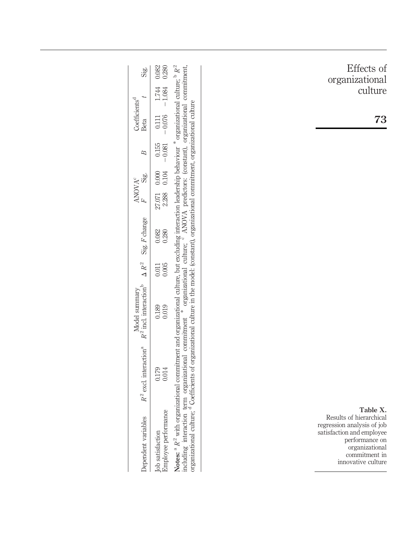| Effects of<br>organizational                                                                                                                                              | 0.082<br>0.280                                                                                                                                                                                                                                                                                                                                                                                     | Sig.                                   |
|---------------------------------------------------------------------------------------------------------------------------------------------------------------------------|----------------------------------------------------------------------------------------------------------------------------------------------------------------------------------------------------------------------------------------------------------------------------------------------------------------------------------------------------------------------------------------------------|----------------------------------------|
| culture                                                                                                                                                                   | 1.084<br>1.744<br>$\begin{array}{c} \rule{0pt}{2.5ex} \rule{0pt}{2.5ex} \rule{0pt}{2.5ex} \rule{0pt}{2.5ex} \rule{0pt}{2.5ex} \rule{0pt}{2.5ex} \rule{0pt}{2.5ex} \rule{0pt}{2.5ex} \rule{0pt}{2.5ex} \rule{0pt}{2.5ex} \rule{0pt}{2.5ex} \rule{0pt}{2.5ex} \rule{0pt}{2.5ex} \rule{0pt}{2.5ex} \rule{0pt}{2.5ex} \rule{0pt}{2.5ex} \rule{0pt}{2.5ex} \rule{0pt}{2.5ex} \rule{0pt}{2.5ex} \rule{0$ | $\ddot{}$<br>Coefficients <sup>d</sup> |
| 73                                                                                                                                                                        | $-0.076$<br>0.111                                                                                                                                                                                                                                                                                                                                                                                  | Beta                                   |
|                                                                                                                                                                           | 0.155<br>$-0.081$                                                                                                                                                                                                                                                                                                                                                                                  | B                                      |
|                                                                                                                                                                           | 0.104<br>0.000                                                                                                                                                                                                                                                                                                                                                                                     | Sig.                                   |
|                                                                                                                                                                           | 2.288<br>27.071                                                                                                                                                                                                                                                                                                                                                                                    | <b>ANOVA<sup>c</sup></b><br>F          |
|                                                                                                                                                                           | * organizational culture; CANOVA predictors: (constant), organizational commitment,<br>0.082<br>0.280                                                                                                                                                                                                                                                                                              | Sig. F change                          |
|                                                                                                                                                                           | 0.005<br>0.011                                                                                                                                                                                                                                                                                                                                                                                     | $\Delta\,R^2$                          |
|                                                                                                                                                                           | 0.189<br>0.019                                                                                                                                                                                                                                                                                                                                                                                     | $R^2$ incl. interaction <sup>b</sup>   |
|                                                                                                                                                                           | Notes: ${}^3R^2$ with organizational commitment and organizational culture, but excluding interaction leadership behaviour ${}^*$ organizational culture; ${}^{\text{b}}R^2$<br>Coefficients of organizational culture in the model: (constant), organizational commitment, organizational culture<br>including interaction term organizational commitment<br>0.179<br>0.014                       | $R^2$ excl. interaction <sup>a</sup>   |
| Table X.<br>Results of hierarchical<br>regression analysis of job<br>satisfaction and employee<br>performance on<br>organizational<br>commitment in<br>innovative culture | organizational culture; d<br>Employee performance<br>Job satisfaction                                                                                                                                                                                                                                                                                                                              |                                        |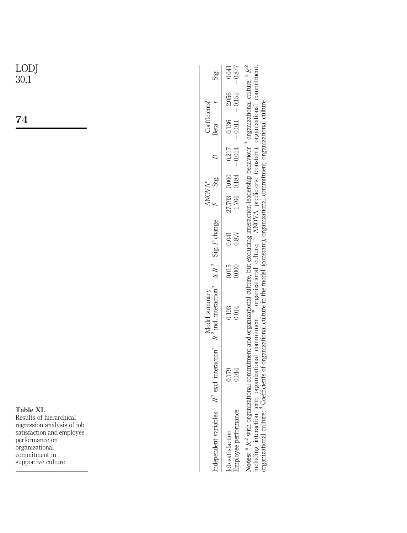| $\begin{array}{c}\text{LODJ} \ \text{30,1}\end{array}$                                                                                                                           | Sig.                                                | $-0.877$<br>0.041                        |                                                                                                                                                                                                                                                                   |
|----------------------------------------------------------------------------------------------------------------------------------------------------------------------------------|-----------------------------------------------------|------------------------------------------|-------------------------------------------------------------------------------------------------------------------------------------------------------------------------------------------------------------------------------------------------------------------|
|                                                                                                                                                                                  |                                                     | $-0.155$<br>2.056                        |                                                                                                                                                                                                                                                                   |
| 74                                                                                                                                                                               | Coefficients <sup>d</sup><br>Beta                   | 0.136<br>$-0.011$                        |                                                                                                                                                                                                                                                                   |
|                                                                                                                                                                                  | B                                                   | 0.217<br>$-0.014$                        |                                                                                                                                                                                                                                                                   |
|                                                                                                                                                                                  | Sig.                                                | 0.184<br>0.000                           |                                                                                                                                                                                                                                                                   |
|                                                                                                                                                                                  | <b>ANOVA<sup>c</sup></b><br>F                       | 1.704<br>27.793                          |                                                                                                                                                                                                                                                                   |
|                                                                                                                                                                                  | Sig. F change                                       | 0.877<br>0.041                           |                                                                                                                                                                                                                                                                   |
|                                                                                                                                                                                  | $\Delta R^2$                                        | 0.015<br>0.000                           |                                                                                                                                                                                                                                                                   |
|                                                                                                                                                                                  | Model summary<br>$R^2$ incl. interaction $^{\rm b}$ | 0.193<br>0.014                           |                                                                                                                                                                                                                                                                   |
|                                                                                                                                                                                  | $R^2$ excl. interaction <sup>a</sup>                | 0.179<br>0.014                           | term organizational commitment * organizational culture; <sup>c</sup> ANOVA predictors: (constant), organizational commitment,<br><sup>d</sup> Coefficients of organizational culture in the model: (constant), organizational commitment, organizational culture |
| <b>Table XI</b><br>Results of hierarchical<br>regression analysis of job<br>satisfaction and employee<br>performance on<br>organizational<br>commitment in<br>supportive culture | Independent variables                               | Job satisfaction<br>Employee performance | Notes: ${}^{3}R^2$ with organizational commitment and organizational culture, but excluding interaction leadership behaviour ${}^{*}$ organizational culture; ${}^{b}R^2$<br>organizational culture;<br>including interaction                                     |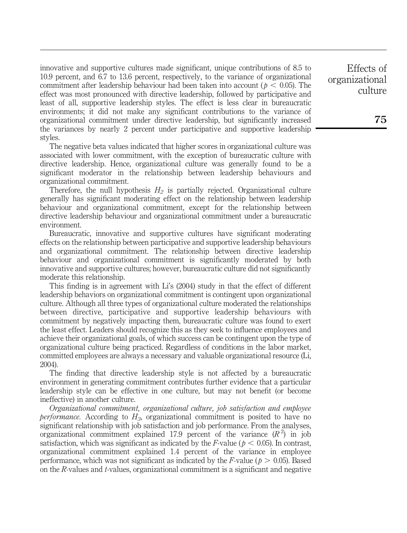innovative and supportive cultures made significant, unique contributions of 8.5 to 10.9 percent, and 6.7 to 13.6 percent, respectively, to the variance of organizational commitment after leadership behaviour had been taken into account ( $p < 0.05$ ). The effect was most pronounced with directive leadership, followed by participative and least of all, supportive leadership styles. The effect is less clear in bureaucratic environments; it did not make any significant contributions to the variance of organizational commitment under directive leadership, but significantly increased the variances by nearly 2 percent under participative and supportive leadership styles.

The negative beta values indicated that higher scores in organizational culture was associated with lower commitment, with the exception of bureaucratic culture with directive leadership. Hence, organizational culture was generally found to be a significant moderator in the relationship between leadership behaviours and organizational commitment.

Therefore, the null hypothesis  $H_2$  is partially rejected. Organizational culture generally has significant moderating effect on the relationship between leadership behaviour and organizational commitment, except for the relationship between directive leadership behaviour and organizational commitment under a bureaucratic environment.

Bureaucratic, innovative and supportive cultures have significant moderating effects on the relationship between participative and supportive leadership behaviours and organizational commitment. The relationship between directive leadership behaviour and organizational commitment is significantly moderated by both innovative and supportive cultures; however, bureaucratic culture did not significantly moderate this relationship.

This finding is in agreement with Li's (2004) study in that the effect of different leadership behaviors on organizational commitment is contingent upon organizational culture. Although all three types of organizational culture moderated the relationships between directive, participative and supportive leadership behaviours with commitment by negatively impacting them, bureaucratic culture was found to exert the least effect. Leaders should recognize this as they seek to influence employees and achieve their organizational goals, of which success can be contingent upon the type of organizational culture being practiced. Regardless of conditions in the labor market, committed employees are always a necessary and valuable organizational resource (Li, 2004).

The finding that directive leadership style is not affected by a bureaucratic environment in generating commitment contributes further evidence that a particular leadership style can be effective in one culture, but may not benefit (or become ineffective) in another culture.

Organizational commitment, organizational culture, job satisfaction and employee *performance*. According to  $H_3$ , organizational commitment is posited to have no significant relationship with job satisfaction and job performance. From the analyses, organizational commitment explained 17.9 percent of the variance  $(R^2)$  in job satisfaction, which was significant as indicated by the F-value ( $p < 0.05$ ). In contrast, organizational commitment explained 1.4 percent of the variance in employee performance, which was not significant as indicated by the F-value ( $p > 0.05$ ). Based on the R-values and  $t$ -values, organizational commitment is a significant and negative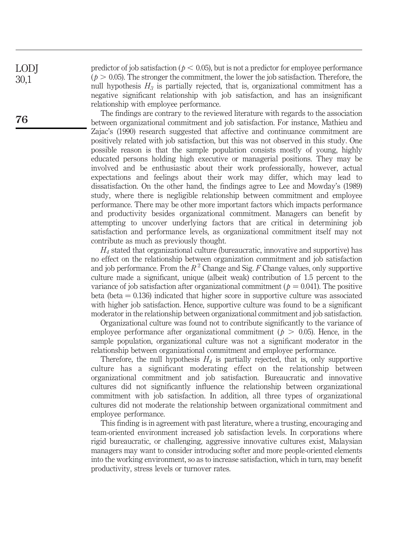predictor of job satisfaction ( $p < 0.05$ ), but is not a predictor for employee performance  $(p > 0.05)$ . The stronger the commitment, the lower the job satisfaction. Therefore, the null hypothesis  $H_3$  is partially rejected, that is, organizational commitment has a negative significant relationship with job satisfaction, and has an insignificant relationship with employee performance.

The findings are contrary to the reviewed literature with regards to the association between organizational commitment and job satisfaction. For instance, Mathieu and Zajac's (1990) research suggested that affective and continuance commitment are positively related with job satisfaction, but this was not observed in this study. One possible reason is that the sample population consists mostly of young, highly educated persons holding high executive or managerial positions. They may be involved and be enthusiastic about their work professionally, however, actual expectations and feelings about their work may differ, which may lead to dissatisfaction. On the other hand, the findings agree to Lee and Mowday's (1989) study, where there is negligible relationship between commitment and employee performance. There may be other more important factors which impacts performance and productivity besides organizational commitment. Managers can benefit by attempting to uncover underlying factors that are critical in determining job satisfaction and performance levels, as organizational commitment itself may not contribute as much as previously thought.

 $H_4$  stated that organizational culture (bureaucratic, innovative and supportive) has no effect on the relationship between organization commitment and job satisfaction and job performance. From the  $R^2$  Change and Sig. F Change values, only supportive culture made a significant, unique (albeit weak) contribution of 1.5 percent to the variance of job satisfaction after organizational commitment ( $p = 0.041$ ). The positive beta (beta  $= 0.136$ ) indicated that higher score in supportive culture was associated with higher job satisfaction. Hence, supportive culture was found to be a significant moderator in the relationship between organizational commitment and job satisfaction.

Organizational culture was found not to contribute significantly to the variance of employee performance after organizational commitment ( $p > 0.05$ ). Hence, in the sample population, organizational culture was not a significant moderator in the relationship between organizational commitment and employee performance.

Therefore, the null hypothesis  $H_4$  is partially rejected, that is, only supportive culture has a significant moderating effect on the relationship between organizational commitment and job satisfaction. Bureaucratic and innovative cultures did not significantly influence the relationship between organizational commitment with job satisfaction. In addition, all three types of organizational cultures did not moderate the relationship between organizational commitment and employee performance.

This finding is in agreement with past literature, where a trusting, encouraging and team-oriented environment increased job satisfaction levels. In corporations where rigid bureaucratic, or challenging, aggressive innovative cultures exist, Malaysian managers may want to consider introducing softer and more people-oriented elements into the working environment, so as to increase satisfaction, which in turn, may benefit productivity, stress levels or turnover rates.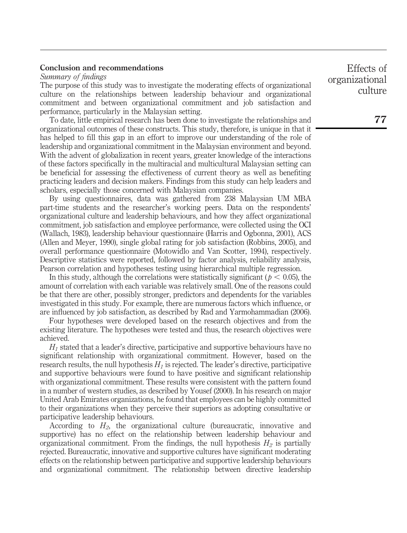## Conclusion and recommendations

Summary of findings

The purpose of this study was to investigate the moderating effects of organizational culture on the relationships between leadership behaviour and organizational commitment and between organizational commitment and job satisfaction and performance, particularly in the Malaysian setting.

To date, little empirical research has been done to investigate the relationships and organizational outcomes of these constructs. This study, therefore, is unique in that it has helped to fill this gap in an effort to improve our understanding of the role of leadership and organizational commitment in the Malaysian environment and beyond. With the advent of globalization in recent years, greater knowledge of the interactions of these factors specifically in the multiracial and multicultural Malaysian setting can be beneficial for assessing the effectiveness of current theory as well as benefiting practicing leaders and decision makers. Findings from this study can help leaders and scholars, especially those concerned with Malaysian companies.

By using questionnaires, data was gathered from 238 Malaysian UM MBA part-time students and the researcher's working peers. Data on the respondents' organizational culture and leadership behaviours, and how they affect organizational commitment, job satisfaction and employee performance, were collected using the OCI (Wallach, 1983), leadership behaviour questionnaire (Harris and Ogbonna, 2001), ACS (Allen and Meyer, 1990), single global rating for job satisfaction (Robbins, 2005), and overall performance questionnaire (Motowidlo and Van Scotter, 1994), respectively. Descriptive statistics were reported, followed by factor analysis, reliability analysis, Pearson correlation and hypotheses testing using hierarchical multiple regression.

In this study, although the correlations were statistically significant ( $p < 0.05$ ), the amount of correlation with each variable was relatively small. One of the reasons could be that there are other, possibly stronger, predictors and dependents for the variables investigated in this study. For example, there are numerous factors which influence, or are influenced by job satisfaction, as described by Rad and Yarmohammadian (2006).

Four hypotheses were developed based on the research objectives and from the existing literature. The hypotheses were tested and thus, the research objectives were achieved.

 $H_1$  stated that a leader's directive, participative and supportive behaviours have no significant relationship with organizational commitment. However, based on the research results, the null hypothesis  $H_1$  is rejected. The leader's directive, participative and supportive behaviours were found to have positive and significant relationship with organizational commitment. These results were consistent with the pattern found in a number of western studies, as described by Yousef (2000). In his research on major United Arab Emirates organizations, he found that employees can be highly committed to their organizations when they perceive their superiors as adopting consultative or participative leadership behaviours.

According to  $H_2$ , the organizational culture (bureaucratic, innovative and supportive) has no effect on the relationship between leadership behaviour and organizational commitment. From the findings, the null hypothesis  $H_2$  is partially rejected. Bureaucratic, innovative and supportive cultures have significant moderating effects on the relationship between participative and supportive leadership behaviours and organizational commitment. The relationship between directive leadership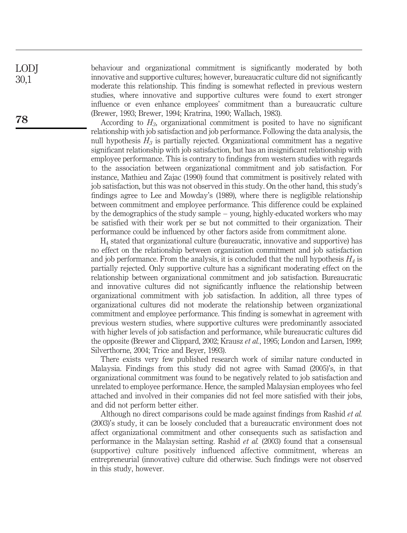behaviour and organizational commitment is significantly moderated by both innovative and supportive cultures; however, bureaucratic culture did not significantly moderate this relationship. This finding is somewhat reflected in previous western studies, where innovative and supportive cultures were found to exert stronger influence or even enhance employees' commitment than a bureaucratic culture (Brewer, 1993; Brewer, 1994; Kratrina, 1990; Wallach, 1983).

According to  $H_3$ , organizational commitment is posited to have no significant relationship with job satisfaction and job performance. Following the data analysis, the null hypothesis  $H_3$  is partially rejected. Organizational commitment has a negative significant relationship with job satisfaction, but has an insignificant relationship with employee performance. This is contrary to findings from western studies with regards to the association between organizational commitment and job satisfaction. For instance, Mathieu and Zajac (1990) found that commitment is positively related with job satisfaction, but this was not observed in this study. On the other hand, this study's findings agree to Lee and Mowday's (1989), where there is negligible relationship between commitment and employee performance. This difference could be explained by the demographics of the study sample – young, highly-educated workers who may be satisfied with their work per se but not committed to their organization. Their performance could be influenced by other factors aside from commitment alone.

 $H_4$  stated that organizational culture (bureaucratic, innovative and supportive) has no effect on the relationship between organization commitment and job satisfaction and job performance. From the analysis, it is concluded that the null hypothesis  $H_4$  is partially rejected. Only supportive culture has a significant moderating effect on the relationship between organizational commitment and job satisfaction. Bureaucratic and innovative cultures did not significantly influence the relationship between organizational commitment with job satisfaction. In addition, all three types of organizational cultures did not moderate the relationship between organizational commitment and employee performance. This finding is somewhat in agreement with previous western studies, where supportive cultures were predominantly associated with higher levels of job satisfaction and performance, while bureaucratic cultures did the opposite (Brewer and Clippard, 2002; Krausz et al., 1995; London and Larsen, 1999; Silverthorne, 2004; Trice and Beyer, 1993).

There exists very few published research work of similar nature conducted in Malaysia. Findings from this study did not agree with Samad (2005)'s, in that organizational commitment was found to be negatively related to job satisfaction and unrelated to employee performance. Hence, the sampled Malaysian employees who feel attached and involved in their companies did not feel more satisfied with their jobs, and did not perform better either.

Although no direct comparisons could be made against findings from Rashid et al. (2003)'s study, it can be loosely concluded that a bureaucratic environment does not affect organizational commitment and other consequents such as satisfaction and performance in the Malaysian setting. Rashid et al. (2003) found that a consensual (supportive) culture positively influenced affective commitment, whereas an entrepreneurial (innovative) culture did otherwise. Such findings were not observed in this study, however.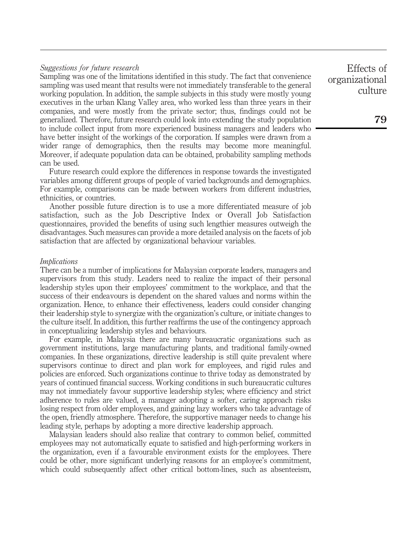## Suggestions for future research

Sampling was one of the limitations identified in this study. The fact that convenience sampling was used meant that results were not immediately transferable to the general working population. In addition, the sample subjects in this study were mostly young executives in the urban Klang Valley area, who worked less than three years in their companies, and were mostly from the private sector; thus, findings could not be generalized. Therefore, future research could look into extending the study population to include collect input from more experienced business managers and leaders who have better insight of the workings of the corporation. If samples were drawn from a wider range of demographics, then the results may become more meaningful. Moreover, if adequate population data can be obtained, probability sampling methods can be used.

Future research could explore the differences in response towards the investigated variables among different groups of people of varied backgrounds and demographics. For example, comparisons can be made between workers from different industries, ethnicities, or countries.

Another possible future direction is to use a more differentiated measure of job satisfaction, such as the Job Descriptive Index or Overall Job Satisfaction questionnaires, provided the benefits of using such lengthier measures outweigh the disadvantages. Such measures can provide a more detailed analysis on the facets of job satisfaction that are affected by organizational behaviour variables.

#### Implications

There can be a number of implications for Malaysian corporate leaders, managers and supervisors from this study. Leaders need to realize the impact of their personal leadership styles upon their employees' commitment to the workplace, and that the success of their endeavours is dependent on the shared values and norms within the organization. Hence, to enhance their effectiveness, leaders could consider changing their leadership style to synergize with the organization's culture, or initiate changes to the culture itself. In addition, this further reaffirms the use of the contingency approach in conceptualizing leadership styles and behaviours.

For example, in Malaysia there are many bureaucratic organizations such as government institutions, large manufacturing plants, and traditional family-owned companies. In these organizations, directive leadership is still quite prevalent where supervisors continue to direct and plan work for employees, and rigid rules and policies are enforced. Such organizations continue to thrive today as demonstrated by years of continued financial success. Working conditions in such bureaucratic cultures may not immediately favour supportive leadership styles; where efficiency and strict adherence to rules are valued, a manager adopting a softer, caring approach risks losing respect from older employees, and gaining lazy workers who take advantage of the open, friendly atmosphere. Therefore, the supportive manager needs to change his leading style, perhaps by adopting a more directive leadership approach.

Malaysian leaders should also realize that contrary to common belief, committed employees may not automatically equate to satisfied and high-performing workers in the organization, even if a favourable environment exists for the employees. There could be other, more significant underlying reasons for an employee's commitment, which could subsequently affect other critical bottom-lines, such as absenteeism,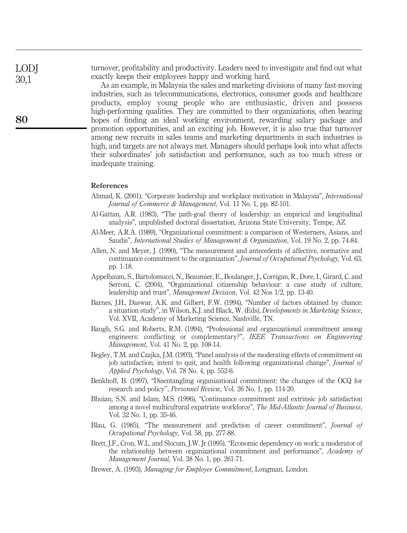turnover, profitability and productivity. Leaders need to investigate and find out what exactly keeps their employees happy and working hard.

> As an example, in Malaysia the sales and marketing divisions of many fast-moving industries, such as telecommunications, electronics, consumer goods and healthcare products, employ young people who are enthusiastic, driven and possess high-performing qualities. They are committed to their organizations, often bearing hopes of finding an ideal working environment, rewarding salary package and promotion opportunities, and an exciting job. However, it is also true that turnover among new recruits in sales teams and marketing departments in such industries is high, and targets are not always met. Managers should perhaps look into what affects their subordinates' job satisfaction and performance, such as too much stress or inadequate training.

### References

- Ahmad, K. (2001), "Corporate leadership and workplace motivation in Malaysia", International Journal of Commerce & Management, Vol. 11 No. 1, pp. 82-101.
- Al-Gattan, A.R. (1983), "The path-goal theory of leadership: an empirical and longitudinal analysis", unpublished doctoral dissertation, Arizona State University, Tempe, AZ.
- Al-Meer, A.R.A. (1989), "Organizational commitment: a comparison of Westerners, Asians, and Saudis", International Studies of Management & Organization, Vol. 19 No. 2, pp. 74-84.
- Allen, N. and Meyer, J. (1990), "The measurement and antecedents of affective, normative and continuance commitment to the organization", Journal of Occupational Psychology, Vol. 63, pp. 1-18.
- Appelbaum, S., Bartolomucci, N., Beaumier, E., Boulanger, J., Corrigan, R., Dore, I., Girard, C. and Serroni, C. (2004), "Organizational citizenship behaviour: a case study of culture, leadership and trust", Management Decision, Vol. 42 Nos 1/2, pp. 13-40.
- Barnes, J.H., Daswar, A.K. and Gilbert, F.W. (1994), "Number of factors obtained by chance: a situation study", in Wilson, K.J. and Black, W. (Eds), Developments in Marketing Science, Vol. XVII, Academy of Marketing Science, Nashville, TN.
- Baugh, S.G. and Roberts, R.M. (1994), "Professional and organizational commitment among engineers: conflicting or complementary?", IEEE Transactions on Engineering Management, Vol. 41 No. 2, pp. 108-14.
- Begley, T.M. and Czajka, J.M. (1993), "Panel analysis of the moderating effects of commitment on job satisfaction, intent to quit, and health following organizational change", *Journal of* Applied Psychology, Vol. 78 No. 4, pp. 552-6.
- Benkhoff, B. (1997), "Disentangling organizational commitment: the changes of the OCQ for research and policy", Personnel Review, Vol. 26 No. 1, pp. 114-20.
- Bhuian, S.N. and Islam, M.S. (1996), "Continuance commitment and extrinsic job satisfaction among a novel multicultural expatriate workforce", The Mid-Atlantic Journal of Business, Vol. 32 No. 1, pp. 35-46.
- Blau, G. (1985), "The measurement and prediction of career commitment", Journal of Occupational Psychology, Vol. 58, pp. 277-88.
- Brett, J.F., Cron, W.L. and Slocum, J.W. Jr (1995), "Economic dependency on work: a moderator of the relationship between organizational commitment and performance", Academy of Management Journal, Vol. 38 No. 1, pp. 261-71.
- Brewer, A. (1993), Managing for Employee Commitment, Longman, London.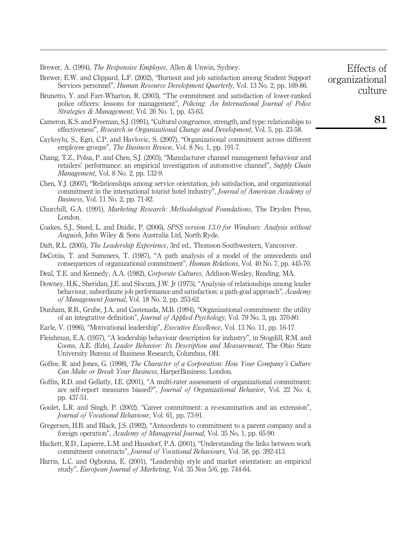Brewer, A. (1994), *The Responsive Employee*, Allen & Unwin, Sydney.

- Brewer, E.W. and Clippard, L.F. (2002), "Burnout and job satisfaction among Student Support Services personnel", Human Resource Development Quarterly, Vol. 13 No. 2, pp. 169-86.
- Brunetto, Y. and Farr-Wharton, R. (2003), "The commitment and satisfaction of lower-ranked police officers: lessons for management", Policing: An International Journal of Police Strategies & Management, Vol. 26 No. 1, pp. 43-63.
- Cameron, K.S. and Freeman, S.J. (1991), "Cultural congruence, strength, and type: relationships to effectiveness", Research in Organizational Change and Development, Vol. 5, pp. 23-58.
- Caykoylu, S., Egri, C.P. and Havlovic, S. (2007), "Organizational commitment across different employee groups", *The Business Review*, Vol. 8 No. 1, pp. 191-7.
- Chang, T.Z., Polsa, P. and Chen, S.J. (2003), "Manufacturer channel management behaviour and retailers' performance: an empirical investigation of automotive channel", Supply Chain Management, Vol. 8 No. 2, pp. 132-9.
- Chen, Y.J. (2007), "Relationships among service orientation, job satisfaction, and organizational commitment in the international tourist hotel industry", Journal of American Academy of Business, Vol. 11 No. 2, pp. 71-82.
- Churchill, G.A. (1991), Marketing Research: Methodological Foundations, The Dryden Press, London.
- Coakes, S.J., Steed, L. and Dzidic, P. (2006), SPSS version 13.0 for Windows: Analysis without Anguish, John Wiley & Sons Australia Ltd, North Ryde.
- Daft, R.L. (2005), The Leadership Experience, 3rd ed., Thomson-Southwestern, Vancouver.
- DeCotiis, T. and Summers, T. (1987), "A path analysis of a model of the antecedents and consequences of organizational commitment", Human Relations, Vol. 40 No. 7, pp. 445-70.
- Deal, T.E. and Kennedy, A.A. (1982), Corporate Cultures, Addison-Wesley, Reading, MA.
- Downey, H.K., Sheridan, J.E. and Slocum, J.W. Jr (1975), "Analysis of relationships among leader behaviour, subordinate job performance and satisfaction: a path-goal approach", Academy of Management Journal, Vol. 18 No. 2, pp. 253-62.
- Dunham, R.B., Grube, J.A. and Castenada, M.B. (1994), "Organizational commitment: the utility of an integrative definition", Journal of Applied Psychology, Vol. 79 No. 3, pp. 370-80.
- Earle, V. (1996), "Motivational leadership", Executive Excellence, Vol. 13 No. 11, pp. 16-17.
- Fleishman, E.A. (1957), "A leadership behaviour description for industry", in Stogdill, R.M. and Coons, A.E. (Eds), Leader Behavior: Its Description and Measurement, The Ohio State University Bureau of Business Research, Columbus, OH.
- Goffee, R. and Jones, G. (1998), The Character of a Corporation: How Your Company's Culture Can Make or Break Your Business, HarperBusiness, London.
- Goffin, R.D. and Gellatly, I.E. (2001), "A multi-rater assessment of organizational commitment: are self-report measures biased?", Journal of Organizational Behavior, Vol. 22 No. 4, pp. 437-51.
- Goulet, L.R. and Singh, P. (2002), "Career commitment: a re-examination and an extension", Journal of Vocational Behaviour, Vol. 61, pp. 73-91.
- Gregersen, H.B. and Black, J.S. (1992), "Antecedents to commitment to a parent company and a foreign operation", Academy of Managerial Journal, Vol. 35 No. 1, pp. 65-90.
- Hackett, R.D., Lapierre, L.M. and Hausdorf, P.A. (2001), "Understanding the links between work commitment constructs", Journal of Vocational Behaviours, Vol. 58, pp. 392-413.
- Harris, L.C. and Ogbonna, E. (2001), "Leadership style and market orientation: an empirical study", European Journal of Marketing, Vol. 35 Nos 5/6, pp. 744-64.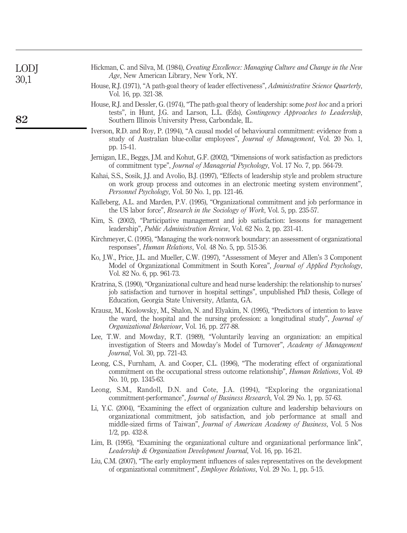| <b>LOD</b><br>30,1 | Hickman, C. and Silva, M. (1984), Creating Excellence: Managing Culture and Change in the New<br>Age, New American Library, New York, NY.                                                                                                                                                |
|--------------------|------------------------------------------------------------------------------------------------------------------------------------------------------------------------------------------------------------------------------------------------------------------------------------------|
|                    | House, R.J. (1971), "A path-goal theory of leader effectiveness", Administrative Science Quarterly,<br>Vol. 16, pp. 321-38.                                                                                                                                                              |
| 82                 | House, R.J. and Dessler, G. (1974), "The path-goal theory of leadership: some <i>post hoc</i> and a priori<br>tests", in Hunt, J.G. and Larson, L.L. (Eds), Contingency Approaches to Leadership,<br>Southern Illinois University Press, Carbondale, IL.                                 |
|                    | Iverson, R.D. and Roy, P. (1994), "A causal model of behavioural commitment: evidence from a<br>study of Australian blue-collar employees", Journal of Management, Vol. 20 No. 1,<br>pp. 15-41.                                                                                          |
|                    | Jernigan, I.E., Beggs, J.M. and Kohut, G.F. (2002), "Dimensions of work satisfaction as predictors<br>of commitment type", Journal of Managerial Psychology, Vol. 17 No. 7, pp. 564-79.                                                                                                  |
|                    | Kahai, S.S., Sosik, J.J. and Avolio, B.J. (1997), "Effects of leadership style and problem structure<br>on work group process and outcomes in an electronic meeting system environment",<br>Personnel Psychology, Vol. 50 No. 1, pp. 121-46.                                             |
|                    | Kalleberg, A.L. and Marden, P.V. (1995), "Organizational commitment and job performance in<br>the US labor force", <i>Research in the Sociology of Work</i> , Vol. 5, pp. 235-57.                                                                                                        |
|                    | Kim, S. (2002), "Participative management and job satisfaction: lessons for management<br>leadership", <i>Public Administration Review</i> , Vol. 62 No. 2, pp. 231-41.                                                                                                                  |
|                    | Kirchmeyer, C. (1995), "Managing the work-nonwork boundary: an assessment of organizational<br>responses", Human Relations, Vol. 48 No. 5, pp. 515-36.                                                                                                                                   |
|                    | Ko, J.W., Price, J.L. and Mueller, C.W. (1997), "Assessment of Meyer and Allen's 3 Component<br>Model of Organizational Commitment in South Korea", Journal of Applied Psychology,<br>Vol. 82 No. 6, pp. 961-73.                                                                         |
|                    | Kratrina, S. (1990), "Organizational culture and head nurse leadership: the relationship to nurses'<br>job satisfaction and turnover in hospital settings", unpublished PhD thesis, College of<br>Education, Georgia State University, Atlanta, GA.                                      |
|                    | Krausz, M., Koslowsky, M., Shalon, N. and Elyakim, N. (1995), "Predictors of intention to leave<br>the ward, the hospital and the nursing profession: a longitudinal study", Journal of<br>Organizational Behaviour, Vol. 16, pp. 277-88.                                                |
|                    | Lee, T.W. and Mowday, R.T. (1989), "Voluntarily leaving an organization: an empitical<br>investigation of Steers and Mowday's Model of Turnover", Academy of Management<br>Journal, Vol. 30, pp. 721-43.                                                                                 |
|                    | Leong, C.S., Furnham, A. and Cooper, C.L. (1996), "The moderating effect of organizational<br>commitment on the occupational stress outcome relationship", <i>Human Relations</i> , Vol. 49<br>No. 10, pp. 1345-63.                                                                      |
|                    | Leong, S.M., Randoll, D.N. and Cote, J.A. (1994), "Exploring the organizational<br>commitment-performance", Journal of Business Research, Vol. 29 No. 1, pp. 57-63.                                                                                                                      |
|                    | Li, Y.C. (2004), "Examining the effect of organization culture and leadership behaviours on<br>organizational commitment, job satisfaction, and job performance at small and<br>middle-sized firms of Taiwan", Journal of American Academy of Business, Vol. 5 Nos<br>$1/2$ , pp. 432-8. |
|                    | Lim, B. (1995), "Examining the organizational culture and organizational performance link",<br>Leadership & Organization Development Journal, Vol. 16, pp. 16-21.                                                                                                                        |
|                    | Liu, C.M. (2007), "The early employment influences of sales representatives on the development<br>of organizational commitment", <i>Employee Relations</i> , Vol. 29 No. 1, pp. 5-15.                                                                                                    |
|                    |                                                                                                                                                                                                                                                                                          |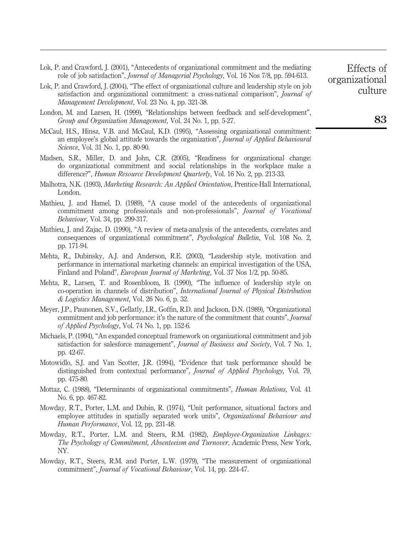- Lok, P. and Crawford, J. (2001), "Antecedents of organizational commitment and the mediating role of job satisfaction", Journal of Managerial Psychology, Vol. 16 Nos 7/8, pp. 594-613.
- Lok, P. and Crawford, J. (2004), "The effect of organizational culture and leadership style on job satisfaction and organizational commitment: a cross-national comparison", *Journal of* Management Development, Vol. 23 No. 4, pp. 321-38.
- London, M. and Larsen, H. (1999), "Relationships between feedback and self-development", Group and Organization Management, Vol. 24 No. 1, pp. 5-27.
- McCaul, H.S., Hinsz, V.B. and McCaul, K.D. (1995), "Assessing organizational commitment: an employee's global attitude towards the organization", Journal of Applied Behavioural Science, Vol. 31 No. 1, pp. 80-90.
- Madsen, S.R., Miller, D. and John, C.R. (2005), "Readiness for organizational change: do organizational commitment and social relationships in the workplace make a difference?", Human Resource Development Quarterly, Vol. 16 No. 2, pp. 213-33.
- Malhotra, N.K. (1993), Marketing Research: An Applied Orientation, Prentice-Hall International, London.
- Mathieu, J. and Hamel, D. (1989), "A cause model of the antecedents of organizational commitment among professionals and non-professionals", Journal of Vocational Behaviour, Vol. 34, pp. 299-317.
- Mathieu, J. and Zajac, D. (1990), "A review of meta-analysis of the antecedents, correlates and consequences of organizational commitment", Psychological Bulletin, Vol. 108 No. 2, pp. 171-94.
- Mehta, R., Dubinsky, A.J. and Anderson, R.E. (2003), "Leadership style, motivation and performance in international marketing channels: an empirical investigation of the USA, Finland and Poland", European Journal of Marketing, Vol. 37 Nos 1/2, pp. 50-85.
- Mehta, R., Larsen, T. and Rosenbloom, B. (1990), "The influence of leadership style on co-operation in channels of distribution", International Journal of Physical Distribution & Logistics Management, Vol. 26 No. 6, p. 32.
- Meyer, J.P., Paunonen, S.V., Gellatly, I.R., Goffin, R.D. and Jackson, D.N. (1989), "Organizational commitment and job performance: it's the nature of the commitment that counts", *Journal* of Applied Psychology, Vol. 74 No. 1, pp. 152-6.
- Michaels, P. (1994), "An expanded conceptual framework on organizational commitment and job satisfaction for salesforce management", Journal of Business and Society, Vol. 7 No. 1, pp. 42-67.
- Motowidlo, S.J. and Van Scotter, J.R. (1994), "Evidence that task performance should be distinguished from contextual performance", Journal of Applied Psychology, Vol. 79, pp. 475-80.
- Mottaz, C. (1988), "Determinants of organizational commitments", Human Relations, Vol. 41 No. 6, pp. 467-82.
- Mowday, R.T., Porter, L.M. and Dubin, R. (1974), "Unit performance, situational factors and employee attitudes in spatially separated work units", Organizational Behaviour and Human Performance, Vol. 12, pp. 231-48.
- Mowday, R.T., Porter, L.M. and Steers, R.M. (1982), Employee-Organization Linkages: The Psychology of Commitment, Absenteeism and Turnover, Academic Press, New York, NY.
- Mowday, R.T., Steers, R.M. and Porter, L.W. (1979), "The measurement of organizational commitment", Journal of Vocational Behaviour, Vol. 14, pp. 224-47.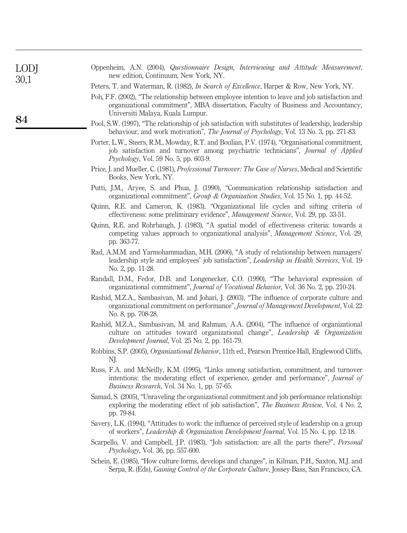|             | Poh, F.F. (2002), "The relationship between employee intention to leave and job satisfaction and<br>organizational commitment", MBA dissertation, Faculty of Business and Accountancy,<br>Universiti Malaya, Kuala Lumpur.          |
|-------------|-------------------------------------------------------------------------------------------------------------------------------------------------------------------------------------------------------------------------------------|
| $\mathbf 1$ | Pool, S.W. (1997), "The relationship of job satisfaction with substitutes of leadership, leadership<br>behaviour, and work motivation", <i>The Journal of Psychology</i> , Vol. 13 No. 3, pp. 271-83.                               |
|             | Porter, L.W., Steers, R.M., Mowday, R.T. and Boulian, P.V. (1974), "Organisational commitment,<br>job satisfaction and turnover among psychiatric technicians", Journal of Applied<br><i>Psychology</i> , Vol. 59 No. 5, pp. 603-9. |
|             | Price, J. and Mueller, C. (1981), Professional Turnover: The Case of Nurses, Medical and Scientific<br>Books, New York, NY.                                                                                                         |
|             | Putti, J.M., Aryee, S. and Phua, J. (1990), "Communication relationship satisfaction and<br>organizational commitment", Group & Organization Studies, Vol. 15 No. 1, pp. 44-52.                                                     |
|             | Quinn, R.E. and Cameron, K. (1983), "Organizational life cycles and sifting criteria of<br>effectiveness: some preliminary evidence", Management Science, Vol. 29, pp. 33-51.                                                       |
|             | Quinn, R.E. and Rohrbaugh, J. (1983), "A spatial model of effectiveness criteria: towards a<br>competing values approach to organizational analysis", Management Science, Vol. 29,<br>pp. 363-77.                                   |
|             | Rad, A.M.M. and Yarmohammadian, M.H. (2006), "A study of relationship between managers'<br>leadership style and employees' job satisfaction", <i>Leadership in Health Services</i> , Vol. 19<br>No. 2, pp. 11-28.                   |
|             | Randall, D.M., Fedor, D.B. and Longenecker, C.O. (1990), "The behavioral expression of<br>organizational commitment", Journal of Vocational Behavior, Vol. 36 No. 2, pp. 210-24.                                                    |
|             | Rashid, M.Z.A., Sambasivan, M. and Johari, J. (2003), "The influence of corporate culture and<br>organizational commitment on performance", Journal of Management Development, Vol. 22<br>No. 8, pp. 708-28.                        |
|             | Rashid, M.Z.A., Sambasivan, M. and Rahman, A.A. (2004), "The influence of organizational<br>culture on attitudes toward organizational change", Leadership & Organization<br>Development Journal, Vol. 25 No. 2, pp. 161-79.        |
|             | Robbins, S.P. (2005), Organizational Behavior, 11th ed., Pearson Prentice-Hall, Englewood Cliffs,<br>NJ.                                                                                                                            |
|             | Russ, F.A. and McNeilly, K.M. (1995), "Links among satisfaction, commitment, and turnover<br>intentions: the moderating effect of experience, gender and performance", Journal of<br>Business Research, Vol. 34 No. 1, pp. 57-65.   |
|             | Samad, S. (2005), "Unraveling the organizational commitment and job performance relationship:<br>exploring the moderating effect of job satisfaction", The Business Review, Vol. 4 No. 2,<br>pp. 79-84.                             |
|             | Savery, L.K. (1994), "Attitudes to work: the influence of perceived style of leadership on a group<br>of workers", Leadership & Organization Development Journal, Vol. 15 No. 4, pp. 12-18.                                         |
|             | Scarpello, V. and Campbell, J.P. (1983), "Job satisfaction: are all the parts there?", Personal<br>Psychology, Vol. 36, pp. 557-600.                                                                                                |
|             | Schein, E. (1985), "How culture forms, develops and changes", in Kilman, P.H., Saxton, M.J. and<br>Serpa, R. (Eds), Gaining Control of the Corporate Culture, Jossey-Bass, San Francisco, CA.                                       |
|             |                                                                                                                                                                                                                                     |
|             |                                                                                                                                                                                                                                     |
|             |                                                                                                                                                                                                                                     |

Peters, T. and Waterman, R. (1982), In Search of Excellence, Harper & Row, New York, NY.

- Poh, F.F. (2002), "The relationship between employee intention to leave and job satisfaction and organizational commitment", MBA dissertation, Faculty of Business and Accountancy,
- Pool, S.W. (1997), "The relationship of job satisfaction with substitutes of leadership, leadership
- Porter, L.W., Steers, R.M., Mowday, R.T. and Boulian, P.V. (1974), "Organisational commitment, job satisfaction and turnover among psychiatric technicians", *Journal of Applied*
- 
- 
- 
- competing values approach to organizational analysis", Management Science, Vol. 29,
- leadership style and employees' job satisfaction", *Leadership in Health Services*, Vol. 19
- 
- Rashid, M.Z.A., Sambasivan, M. and Johari, J. (2003), "The influence of corporate culture and organizational commitment on performance", Journal of Management Development, Vol. 22
- culture on attitudes toward organizational change", Leadership & Organization
- 
- intentions: the moderating effect of experience, gender and performance", *Journal of*
- Samad, S. (2005), "Unraveling the organizational commitment and job performance relationship: exploring the moderating effect of job satisfaction", *The Business Review*, Vol. 4 No. 2,
- Savery, L.K. (1994), "Attitudes to work: the influence of perceived style of leadership on a group
- Scarpello, V. and Campbell, J.P. (1983), "Job satisfaction: are all the parts there?", Personal
- Serpa, R. (Eds), *Gaining Control of the Corporate Culture*, Jossey-Bass, San Francisco, CA.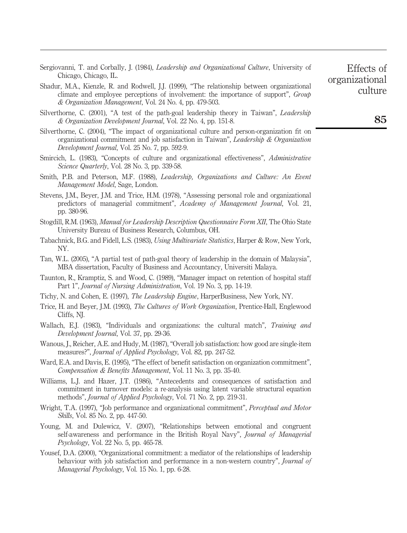|  |                       |  | Sergiovanni, T. and Corbally, J. (1984), <i>Leadership and Organizational Culture</i> , University of |  |  |
|--|-----------------------|--|-------------------------------------------------------------------------------------------------------|--|--|
|  | Chicago, Chicago, IL. |  |                                                                                                       |  |  |

- Shadur, M.A., Kienzle, R. and Rodwell, J.J. (1999), "The relationship between organizational climate and employee perceptions of involvement: the importance of support", Group & Organization Management, Vol. 24 No. 4, pp. 479-503.
- Silverthorne, C. (2001), "A test of the path-goal leadership theory in Taiwan", Leadership & Organization Development Journal, Vol. 22 No. 4, pp. 151-8.
- Silverthorne, C. (2004), "The impact of organizational culture and person-organization fit on organizational commitment and job satisfaction in Taiwan", Leadership & Organization Development Journal, Vol. 25 No. 7, pp. 592-9.
- Smircich, L. (1983), "Concepts of culture and organizational effectiveness", Administrative Science Quarterly, Vol. 28 No. 3, pp. 339-58.
- Smith, P.B. and Peterson, M.F. (1988), Leadership, Organizations and Culture: An Event Management Model, Sage, London.
- Stevens, J.M., Beyer, J.M. and Trice, H.M. (1978), "Assessing personal role and organizational predictors of managerial commitment", Academy of Management Journal, Vol. 21, pp. 380-96.
- Stogdill, R.M. (1963), Manual for Leadership Description Questionnaire Form XII, The Ohio State University Bureau of Business Research, Columbus, OH.
- Tabachnick, B.G. and Fidell, L.S. (1983), Using Multivariate Statistics, Harper & Row, New York, NY.
- Tan, W.L. (2005), "A partial test of path-goal theory of leadership in the domain of Malaysia", MBA dissertation, Faculty of Business and Accountancy, Universiti Malaya.
- Taunton, R., Kramptiz, S. and Wood, C. (1989), "Manager impact on retention of hospital staff Part 1", Journal of Nursing Administration, Vol. 19 No. 3, pp. 14-19.
- Tichy, N. and Cohen, E. (1997), The Leadership Engine, HarperBusiness, New York, NY.
- Trice, H. and Beyer, J.M. (1993), The Cultures of Work Organization, Prentice-Hall, Englewood Cliffs, NJ.
- Wallach, E.J. (1983), "Individuals and organizations: the cultural match", Training and Development Journal, Vol. 37, pp. 29-36.
- Wanous, J., Reicher, A.E. and Hudy, M. (1987), "Overall job satisfaction: how good are single-item measures?", Journal of Applied Psychology, Vol. 82, pp. 247-52.
- Ward, E.A. and Davis, E. (1995), "The effect of benefit satisfaction on organization commitment", Compensation & Benefits Management, Vol. 11 No. 3, pp. 35-40.
- Williams, L.J. and Hazer, J.T. (1986), "Antecedents and consequences of satisfaction and commitment in turnover models: a re-analysis using latent variable structural equation methods", Journal of Applied Psychology, Vol. 71 No. 2, pp. 219-31.
- Wright, T.A. (1997), "Job performance and organizational commitment", Perceptual and Motor Skills, Vol. 85 No. 2, pp. 447-50.
- Young, M. and Dulewicz, V. (2007), "Relationships between emotional and congruent self-awareness and performance in the British Royal Navy", Journal of Managerial Psychology, Vol. 22 No. 5, pp. 465-78.
- Yousef, D.A. (2000), "Organizational commitment: a mediator of the relationships of leadership behaviour with job satisfaction and performance in a non-western country", Journal of Managerial Psychology, Vol. 15 No. 1, pp. 6-28.

85